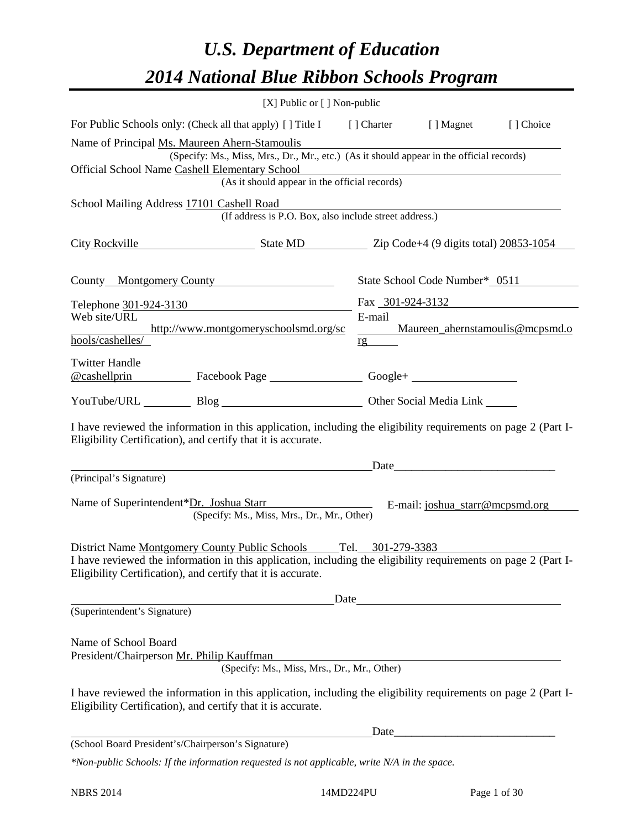# *U.S. Department of Education 2014 National Blue Ribbon Schools Program*

| [X] Public or [] Non-public                                                                                                                                                                                                                        |                           |                                 |                                 |  |  |  |  |  |  |
|----------------------------------------------------------------------------------------------------------------------------------------------------------------------------------------------------------------------------------------------------|---------------------------|---------------------------------|---------------------------------|--|--|--|--|--|--|
| For Public Schools only: (Check all that apply) [] Title I [] Charter [] Magnet                                                                                                                                                                    |                           |                                 | [] Choice                       |  |  |  |  |  |  |
| Name of Principal Ms. Maureen Ahern-Stamoulis<br>(Specify: Ms., Miss, Mrs., Dr., Mr., etc.) (As it should appear in the official records)<br>Official School Name Cashell Elementary School<br>(As it should appear in the official records)       |                           |                                 |                                 |  |  |  |  |  |  |
| School Mailing Address 17101 Cashell Road<br>(If address is P.O. Box, also include street address.)                                                                                                                                                |                           |                                 |                                 |  |  |  |  |  |  |
| City Rockville State MD Zip Code+4 (9 digits total) 20853-1054                                                                                                                                                                                     |                           |                                 |                                 |  |  |  |  |  |  |
| County Montgomery County                                                                                                                                                                                                                           |                           | State School Code Number* 0511  |                                 |  |  |  |  |  |  |
| Telephone 301-924-3130                                                                                                                                                                                                                             |                           | Fax 301-924-3132                |                                 |  |  |  |  |  |  |
| Web site/URL<br>http://www.montgomeryschoolsmd.org/sc<br>hools/cashelles/                                                                                                                                                                          | E-mail<br>$\frac{rg}{rg}$ |                                 | Maureen_ahernstamoulis@mcpsmd.o |  |  |  |  |  |  |
| <b>Twitter Handle</b>                                                                                                                                                                                                                              |                           |                                 |                                 |  |  |  |  |  |  |
| @cashellprin Facebook Page Google+                                                                                                                                                                                                                 |                           |                                 |                                 |  |  |  |  |  |  |
| YouTube/URL Blog Blog Discount Other Social Media Link                                                                                                                                                                                             |                           |                                 |                                 |  |  |  |  |  |  |
| I have reviewed the information in this application, including the eligibility requirements on page 2 (Part I-<br>Eligibility Certification), and certify that it is accurate.                                                                     |                           |                                 |                                 |  |  |  |  |  |  |
| Date                                                                                                                                                                                                                                               |                           |                                 |                                 |  |  |  |  |  |  |
| (Principal's Signature)                                                                                                                                                                                                                            |                           |                                 |                                 |  |  |  |  |  |  |
| Name of Superintendent*Dr. Joshua Starr<br>(Specify: Ms., Miss, Mrs., Dr., Mr., Other)                                                                                                                                                             |                           | E-mail: joshua_starr@mcpsmd.org |                                 |  |  |  |  |  |  |
| District Name Montgomery County Public Schools Tel. 301-279-3383<br>I have reviewed the information in this application, including the eligibility requirements on page 2 (Part I-<br>Eligibility Certification), and certify that it is accurate. |                           |                                 |                                 |  |  |  |  |  |  |
|                                                                                                                                                                                                                                                    |                           |                                 |                                 |  |  |  |  |  |  |
| (Superintendent's Signature)                                                                                                                                                                                                                       |                           |                                 |                                 |  |  |  |  |  |  |
| Name of School Board<br>President/Chairperson Mr. Philip Kauffman<br>(Specify: Ms., Miss, Mrs., Dr., Mr., Other)                                                                                                                                   |                           |                                 |                                 |  |  |  |  |  |  |
| I have reviewed the information in this application, including the eligibility requirements on page 2 (Part I-<br>Eligibility Certification), and certify that it is accurate.                                                                     |                           |                                 |                                 |  |  |  |  |  |  |
|                                                                                                                                                                                                                                                    |                           |                                 |                                 |  |  |  |  |  |  |
| (School Board President's/Chairperson's Signature)                                                                                                                                                                                                 |                           |                                 |                                 |  |  |  |  |  |  |

*\*Non-public Schools: If the information requested is not applicable, write N/A in the space.*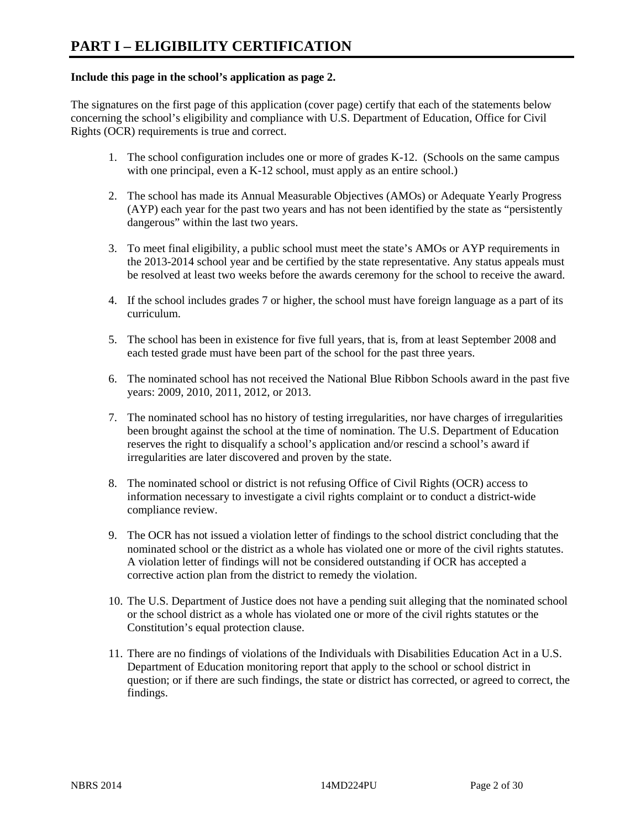### **Include this page in the school's application as page 2.**

The signatures on the first page of this application (cover page) certify that each of the statements below concerning the school's eligibility and compliance with U.S. Department of Education, Office for Civil Rights (OCR) requirements is true and correct.

- 1. The school configuration includes one or more of grades K-12. (Schools on the same campus with one principal, even a K-12 school, must apply as an entire school.)
- 2. The school has made its Annual Measurable Objectives (AMOs) or Adequate Yearly Progress (AYP) each year for the past two years and has not been identified by the state as "persistently dangerous" within the last two years.
- 3. To meet final eligibility, a public school must meet the state's AMOs or AYP requirements in the 2013-2014 school year and be certified by the state representative. Any status appeals must be resolved at least two weeks before the awards ceremony for the school to receive the award.
- 4. If the school includes grades 7 or higher, the school must have foreign language as a part of its curriculum.
- 5. The school has been in existence for five full years, that is, from at least September 2008 and each tested grade must have been part of the school for the past three years.
- 6. The nominated school has not received the National Blue Ribbon Schools award in the past five years: 2009, 2010, 2011, 2012, or 2013.
- 7. The nominated school has no history of testing irregularities, nor have charges of irregularities been brought against the school at the time of nomination. The U.S. Department of Education reserves the right to disqualify a school's application and/or rescind a school's award if irregularities are later discovered and proven by the state.
- 8. The nominated school or district is not refusing Office of Civil Rights (OCR) access to information necessary to investigate a civil rights complaint or to conduct a district-wide compliance review.
- 9. The OCR has not issued a violation letter of findings to the school district concluding that the nominated school or the district as a whole has violated one or more of the civil rights statutes. A violation letter of findings will not be considered outstanding if OCR has accepted a corrective action plan from the district to remedy the violation.
- 10. The U.S. Department of Justice does not have a pending suit alleging that the nominated school or the school district as a whole has violated one or more of the civil rights statutes or the Constitution's equal protection clause.
- 11. There are no findings of violations of the Individuals with Disabilities Education Act in a U.S. Department of Education monitoring report that apply to the school or school district in question; or if there are such findings, the state or district has corrected, or agreed to correct, the findings.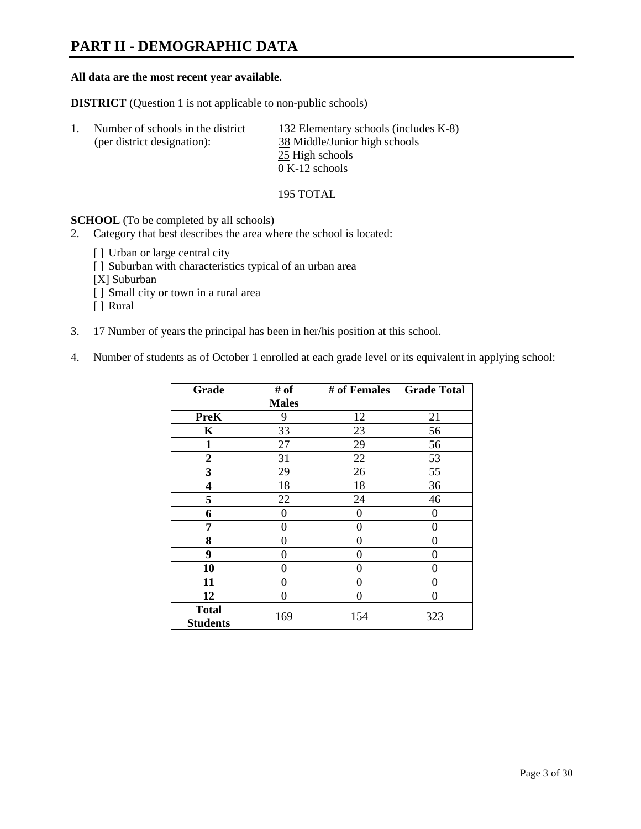# **PART II - DEMOGRAPHIC DATA**

#### **All data are the most recent year available.**

**DISTRICT** (Question 1 is not applicable to non-public schools)

| Number of schools in the district | 132 Elementary schools (includes K-8) |
|-----------------------------------|---------------------------------------|
| (per district designation):       | 38 Middle/Junior high schools         |
|                                   | 25 High schools                       |
|                                   | $0 K-12$ schools                      |

195 TOTAL

**SCHOOL** (To be completed by all schools)

- 2. Category that best describes the area where the school is located:
	- [] Urban or large central city
	- [ ] Suburban with characteristics typical of an urban area
	- [X] Suburban
	- [ ] Small city or town in a rural area
	- [ ] Rural
- 3. 17 Number of years the principal has been in her/his position at this school.
- 4. Number of students as of October 1 enrolled at each grade level or its equivalent in applying school:

| Grade                           | # of         | # of Females | <b>Grade Total</b> |
|---------------------------------|--------------|--------------|--------------------|
|                                 | <b>Males</b> |              |                    |
| <b>PreK</b>                     | 9            | 12           | 21                 |
| K                               | 33           | 23           | 56                 |
| $\mathbf{1}$                    | 27           | 29           | 56                 |
| $\mathbf{2}$                    | 31           | 22           | 53                 |
| 3                               | 29           | 26           | 55                 |
| 4                               | 18           | 18           | 36                 |
| 5                               | 22           | 24           | 46                 |
| 6                               | 0            | $\Omega$     | $\theta$           |
| 7                               | 0            | 0            | 0                  |
| 8                               | $\theta$     | 0            | 0                  |
| 9                               | 0            | 0            | 0                  |
| 10                              | 0            | 0            | 0                  |
| 11                              | 0            | 0            | 0                  |
| 12                              | 0            | 0            | 0                  |
| <b>Total</b><br><b>Students</b> | 169          | 154          | 323                |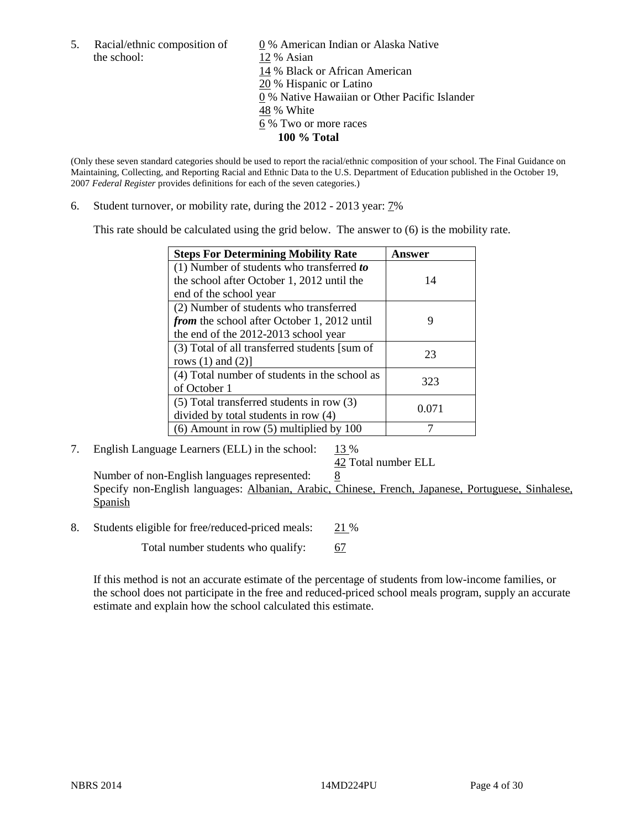the school: 12 % Asian

5. Racial/ethnic composition of  $\qquad \qquad \underline{0}$  % American Indian or Alaska Native 14 % Black or African American 20 % Hispanic or Latino 0 % Native Hawaiian or Other Pacific Islander 48 % White 6 % Two or more races **100 % Total** 

(Only these seven standard categories should be used to report the racial/ethnic composition of your school. The Final Guidance on Maintaining, Collecting, and Reporting Racial and Ethnic Data to the U.S. Department of Education published in the October 19, 2007 *Federal Register* provides definitions for each of the seven categories.)

6. Student turnover, or mobility rate, during the 2012 - 2013 year: 7%

This rate should be calculated using the grid below. The answer to (6) is the mobility rate.

| <b>Steps For Determining Mobility Rate</b>         | Answer |
|----------------------------------------------------|--------|
| (1) Number of students who transferred to          |        |
| the school after October 1, 2012 until the         | 14     |
| end of the school year                             |        |
| (2) Number of students who transferred             |        |
| <i>from</i> the school after October 1, 2012 until | 9      |
| the end of the 2012-2013 school year               |        |
| (3) Total of all transferred students [sum of      | 23     |
| rows $(1)$ and $(2)$ ]                             |        |
| (4) Total number of students in the school as      | 323    |
| of October 1                                       |        |
| $(5)$ Total transferred students in row $(3)$      | 0.071  |
| divided by total students in row (4)               |        |
| $(6)$ Amount in row $(5)$ multiplied by 100        |        |

# 7. English Language Learners (ELL) in the school:  $13\%$

42 Total number ELL

Number of non-English languages represented: 8 Specify non-English languages: Albanian, Arabic, Chinese, French, Japanese, Portuguese, Sinhalese, Spanish

8. Students eligible for free/reduced-priced meals: 21 %

Total number students who qualify: 67

If this method is not an accurate estimate of the percentage of students from low-income families, or the school does not participate in the free and reduced-priced school meals program, supply an accurate estimate and explain how the school calculated this estimate.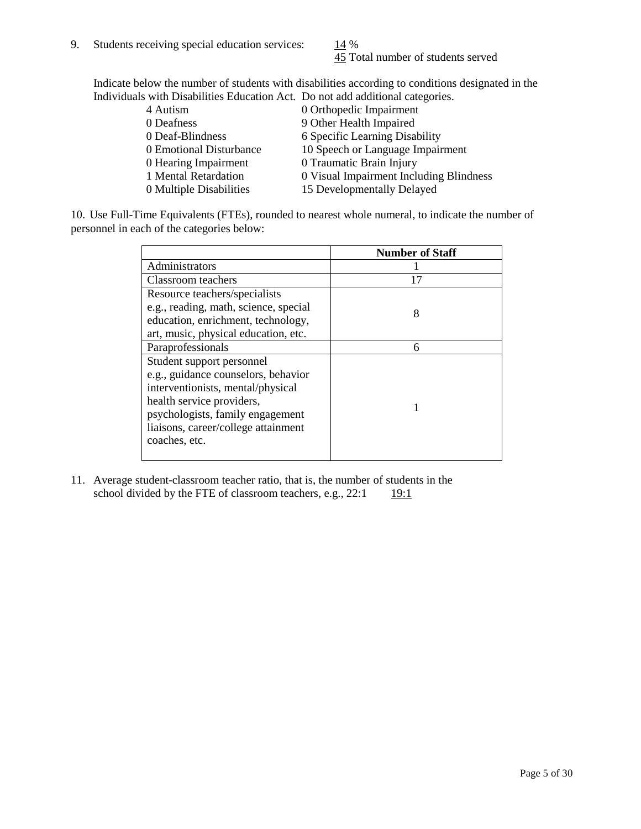45 Total number of students served

Indicate below the number of students with disabilities according to conditions designated in the Individuals with Disabilities Education Act. Do not add additional categories.

| 4 Autism                | 0 Orthopedic Impairment                 |
|-------------------------|-----------------------------------------|
| 0 Deafness              | 9 Other Health Impaired                 |
| 0 Deaf-Blindness        | 6 Specific Learning Disability          |
| 0 Emotional Disturbance | 10 Speech or Language Impairment        |
| 0 Hearing Impairment    | 0 Traumatic Brain Injury                |
| 1 Mental Retardation    | 0 Visual Impairment Including Blindness |
| 0 Multiple Disabilities | 15 Developmentally Delayed              |
|                         |                                         |

10. Use Full-Time Equivalents (FTEs), rounded to nearest whole numeral, to indicate the number of personnel in each of the categories below:

|                                       | <b>Number of Staff</b> |
|---------------------------------------|------------------------|
| Administrators                        |                        |
| Classroom teachers                    | 17                     |
| Resource teachers/specialists         |                        |
| e.g., reading, math, science, special | 8                      |
| education, enrichment, technology,    |                        |
| art, music, physical education, etc.  |                        |
| Paraprofessionals                     | 6                      |
| Student support personnel             |                        |
| e.g., guidance counselors, behavior   |                        |
| interventionists, mental/physical     |                        |
| health service providers,             |                        |
| psychologists, family engagement      |                        |
| liaisons, career/college attainment   |                        |
| coaches, etc.                         |                        |
|                                       |                        |

11. Average student-classroom teacher ratio, that is, the number of students in the school divided by the FTE of classroom teachers, e.g.,  $22:1$  19:1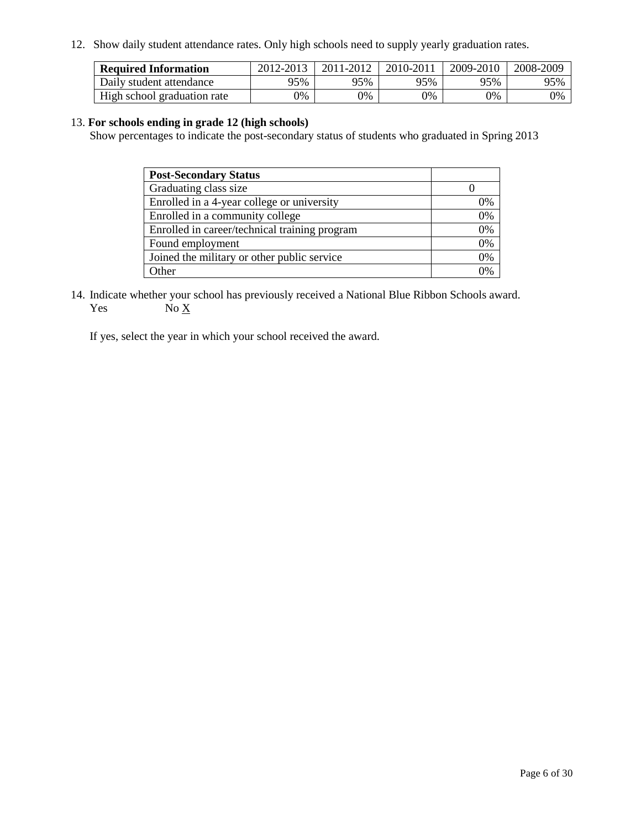12. Show daily student attendance rates. Only high schools need to supply yearly graduation rates.

| <b>Required Information</b> | 2012-2013 | 2011-2012 | 2010-2011 | 2009-2010 | 2008-2009 |
|-----------------------------|-----------|-----------|-----------|-----------|-----------|
| Daily student attendance    | 95%       | 95%       | 95%       | 95%       | 95%       |
| High school graduation rate | 0%        | 0%        | 0%        | 0%        | 0%        |

#### 13. **For schools ending in grade 12 (high schools)**

Show percentages to indicate the post-secondary status of students who graduated in Spring 2013

| <b>Post-Secondary Status</b>                  |    |
|-----------------------------------------------|----|
| Graduating class size                         |    |
| Enrolled in a 4-year college or university    | 0% |
| Enrolled in a community college               | 0% |
| Enrolled in career/technical training program | 0% |
| Found employment                              | 0% |
| Joined the military or other public service   | 0% |
| <b>Other</b>                                  | 2% |

14. Indicate whether your school has previously received a National Blue Ribbon Schools award. Yes  $No \underline{X}$ 

If yes, select the year in which your school received the award.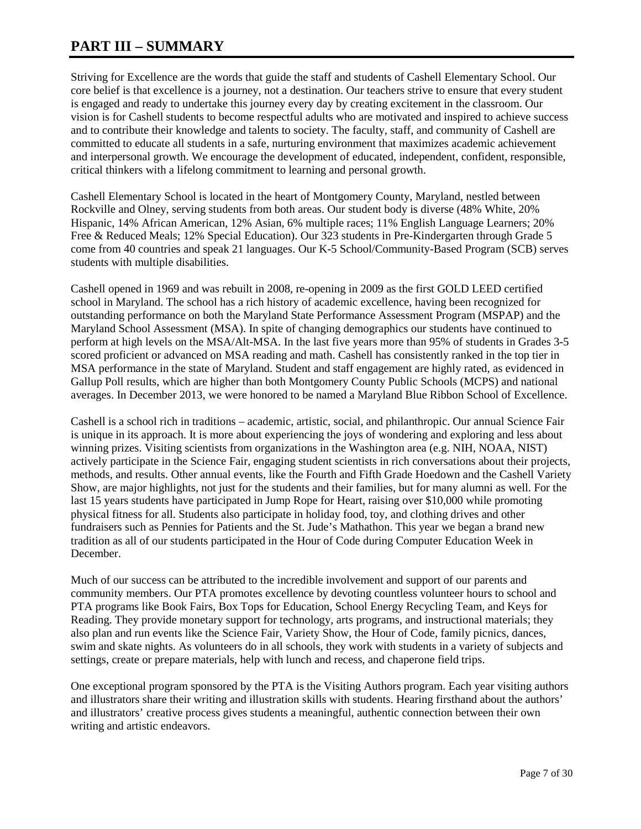# **PART III – SUMMARY**

Striving for Excellence are the words that guide the staff and students of Cashell Elementary School. Our core belief is that excellence is a journey, not a destination. Our teachers strive to ensure that every student is engaged and ready to undertake this journey every day by creating excitement in the classroom. Our vision is for Cashell students to become respectful adults who are motivated and inspired to achieve success and to contribute their knowledge and talents to society. The faculty, staff, and community of Cashell are committed to educate all students in a safe, nurturing environment that maximizes academic achievement and interpersonal growth. We encourage the development of educated, independent, confident, responsible, critical thinkers with a lifelong commitment to learning and personal growth.

Cashell Elementary School is located in the heart of Montgomery County, Maryland, nestled between Rockville and Olney, serving students from both areas. Our student body is diverse (48% White, 20% Hispanic, 14% African American, 12% Asian, 6% multiple races; 11% English Language Learners; 20% Free & Reduced Meals; 12% Special Education). Our 323 students in Pre-Kindergarten through Grade 5 come from 40 countries and speak 21 languages. Our K-5 School/Community-Based Program (SCB) serves students with multiple disabilities.

Cashell opened in 1969 and was rebuilt in 2008, re-opening in 2009 as the first GOLD LEED certified school in Maryland. The school has a rich history of academic excellence, having been recognized for outstanding performance on both the Maryland State Performance Assessment Program (MSPAP) and the Maryland School Assessment (MSA). In spite of changing demographics our students have continued to perform at high levels on the MSA/Alt-MSA. In the last five years more than 95% of students in Grades 3-5 scored proficient or advanced on MSA reading and math. Cashell has consistently ranked in the top tier in MSA performance in the state of Maryland. Student and staff engagement are highly rated, as evidenced in Gallup Poll results, which are higher than both Montgomery County Public Schools (MCPS) and national averages. In December 2013, we were honored to be named a Maryland Blue Ribbon School of Excellence.

Cashell is a school rich in traditions – academic, artistic, social, and philanthropic. Our annual Science Fair is unique in its approach. It is more about experiencing the joys of wondering and exploring and less about winning prizes. Visiting scientists from organizations in the Washington area (e.g. NIH, NOAA, NIST) actively participate in the Science Fair, engaging student scientists in rich conversations about their projects, methods, and results. Other annual events, like the Fourth and Fifth Grade Hoedown and the Cashell Variety Show, are major highlights, not just for the students and their families, but for many alumni as well. For the last 15 years students have participated in Jump Rope for Heart, raising over \$10,000 while promoting physical fitness for all. Students also participate in holiday food, toy, and clothing drives and other fundraisers such as Pennies for Patients and the St. Jude's Mathathon. This year we began a brand new tradition as all of our students participated in the Hour of Code during Computer Education Week in December.

Much of our success can be attributed to the incredible involvement and support of our parents and community members. Our PTA promotes excellence by devoting countless volunteer hours to school and PTA programs like Book Fairs, Box Tops for Education, School Energy Recycling Team, and Keys for Reading. They provide monetary support for technology, arts programs, and instructional materials; they also plan and run events like the Science Fair, Variety Show, the Hour of Code, family picnics, dances, swim and skate nights. As volunteers do in all schools, they work with students in a variety of subjects and settings, create or prepare materials, help with lunch and recess, and chaperone field trips.

One exceptional program sponsored by the PTA is the Visiting Authors program. Each year visiting authors and illustrators share their writing and illustration skills with students. Hearing firsthand about the authors' and illustrators' creative process gives students a meaningful, authentic connection between their own writing and artistic endeavors.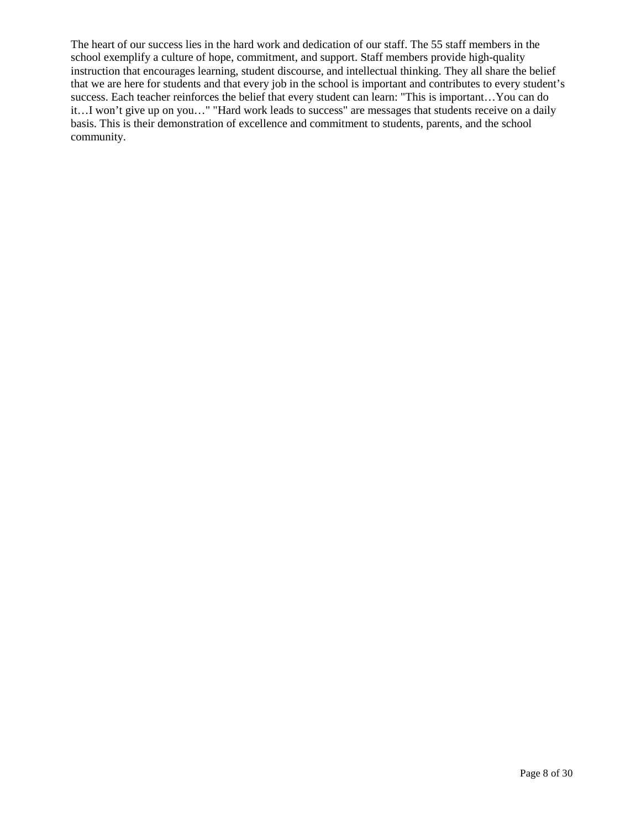The heart of our success lies in the hard work and dedication of our staff. The 55 staff members in the school exemplify a culture of hope, commitment, and support. Staff members provide high-quality instruction that encourages learning, student discourse, and intellectual thinking. They all share the belief that we are here for students and that every job in the school is important and contributes to every student's success. Each teacher reinforces the belief that every student can learn: "This is important…You can do it…I won't give up on you…" "Hard work leads to success" are messages that students receive on a daily basis. This is their demonstration of excellence and commitment to students, parents, and the school community.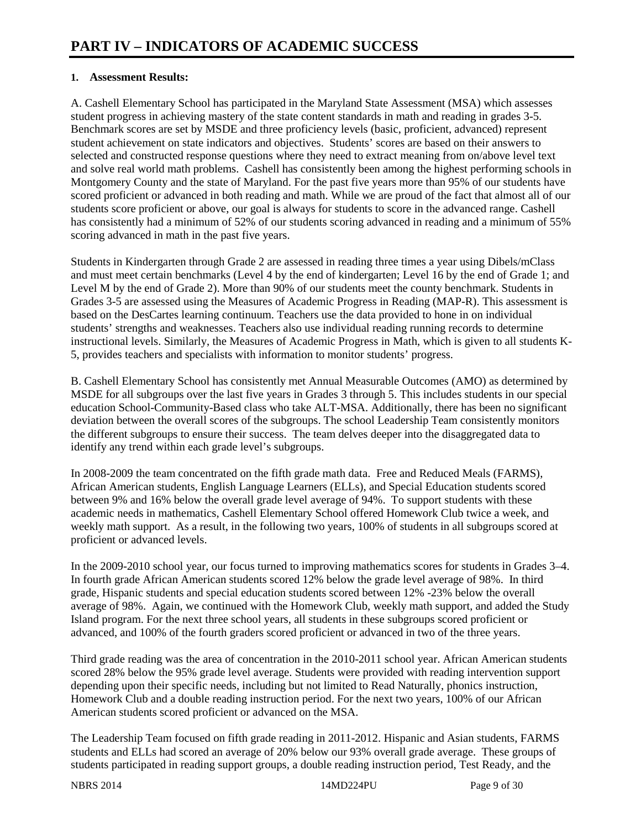# **1. Assessment Results:**

A. Cashell Elementary School has participated in the Maryland State Assessment (MSA) which assesses student progress in achieving mastery of the state content standards in math and reading in grades 3-5. Benchmark scores are set by MSDE and three proficiency levels (basic, proficient, advanced) represent student achievement on state indicators and objectives. Students' scores are based on their answers to selected and constructed response questions where they need to extract meaning from on/above level text and solve real world math problems. Cashell has consistently been among the highest performing schools in Montgomery County and the state of Maryland. For the past five years more than 95% of our students have scored proficient or advanced in both reading and math. While we are proud of the fact that almost all of our students score proficient or above, our goal is always for students to score in the advanced range. Cashell has consistently had a minimum of 52% of our students scoring advanced in reading and a minimum of 55% scoring advanced in math in the past five years.

Students in Kindergarten through Grade 2 are assessed in reading three times a year using Dibels/mClass and must meet certain benchmarks (Level 4 by the end of kindergarten; Level 16 by the end of Grade 1; and Level M by the end of Grade 2). More than 90% of our students meet the county benchmark. Students in Grades 3-5 are assessed using the Measures of Academic Progress in Reading (MAP-R). This assessment is based on the DesCartes learning continuum. Teachers use the data provided to hone in on individual students' strengths and weaknesses. Teachers also use individual reading running records to determine instructional levels. Similarly, the Measures of Academic Progress in Math, which is given to all students K-5, provides teachers and specialists with information to monitor students' progress.

B. Cashell Elementary School has consistently met Annual Measurable Outcomes (AMO) as determined by MSDE for all subgroups over the last five years in Grades 3 through 5. This includes students in our special education School-Community-Based class who take ALT-MSA. Additionally, there has been no significant deviation between the overall scores of the subgroups. The school Leadership Team consistently monitors the different subgroups to ensure their success. The team delves deeper into the disaggregated data to identify any trend within each grade level's subgroups.

In 2008-2009 the team concentrated on the fifth grade math data. Free and Reduced Meals (FARMS), African American students, English Language Learners (ELLs), and Special Education students scored between 9% and 16% below the overall grade level average of 94%. To support students with these academic needs in mathematics, Cashell Elementary School offered Homework Club twice a week, and weekly math support. As a result, in the following two years, 100% of students in all subgroups scored at proficient or advanced levels.

In the 2009-2010 school year, our focus turned to improving mathematics scores for students in Grades 3–4. In fourth grade African American students scored 12% below the grade level average of 98%. In third grade, Hispanic students and special education students scored between 12% -23% below the overall average of 98%. Again, we continued with the Homework Club, weekly math support, and added the Study Island program. For the next three school years, all students in these subgroups scored proficient or advanced, and 100% of the fourth graders scored proficient or advanced in two of the three years.

Third grade reading was the area of concentration in the 2010-2011 school year. African American students scored 28% below the 95% grade level average. Students were provided with reading intervention support depending upon their specific needs, including but not limited to Read Naturally, phonics instruction, Homework Club and a double reading instruction period. For the next two years, 100% of our African American students scored proficient or advanced on the MSA.

The Leadership Team focused on fifth grade reading in 2011-2012. Hispanic and Asian students, FARMS students and ELLs had scored an average of 20% below our 93% overall grade average. These groups of students participated in reading support groups, a double reading instruction period, Test Ready, and the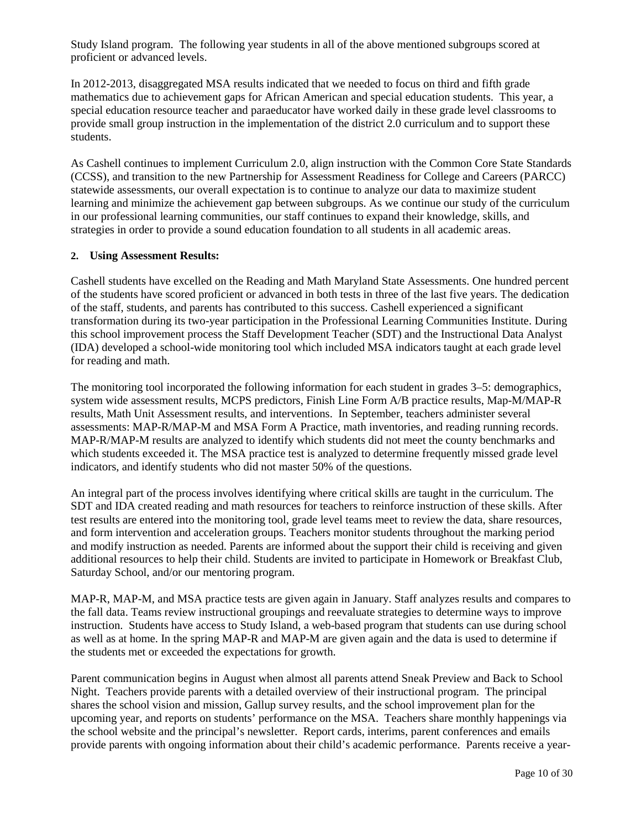Study Island program. The following year students in all of the above mentioned subgroups scored at proficient or advanced levels.

In 2012-2013, disaggregated MSA results indicated that we needed to focus on third and fifth grade mathematics due to achievement gaps for African American and special education students. This year, a special education resource teacher and paraeducator have worked daily in these grade level classrooms to provide small group instruction in the implementation of the district 2.0 curriculum and to support these students.

As Cashell continues to implement Curriculum 2.0, align instruction with the Common Core State Standards (CCSS), and transition to the new Partnership for Assessment Readiness for College and Careers (PARCC) statewide assessments, our overall expectation is to continue to analyze our data to maximize student learning and minimize the achievement gap between subgroups. As we continue our study of the curriculum in our professional learning communities, our staff continues to expand their knowledge, skills, and strategies in order to provide a sound education foundation to all students in all academic areas.

#### **2. Using Assessment Results:**

Cashell students have excelled on the Reading and Math Maryland State Assessments. One hundred percent of the students have scored proficient or advanced in both tests in three of the last five years. The dedication of the staff, students, and parents has contributed to this success. Cashell experienced a significant transformation during its two-year participation in the Professional Learning Communities Institute. During this school improvement process the Staff Development Teacher (SDT) and the Instructional Data Analyst (IDA) developed a school-wide monitoring tool which included MSA indicators taught at each grade level for reading and math.

The monitoring tool incorporated the following information for each student in grades 3–5: demographics, system wide assessment results, MCPS predictors, Finish Line Form A/B practice results, Map-M/MAP-R results, Math Unit Assessment results, and interventions. In September, teachers administer several assessments: MAP-R/MAP-M and MSA Form A Practice, math inventories, and reading running records. MAP-R/MAP-M results are analyzed to identify which students did not meet the county benchmarks and which students exceeded it. The MSA practice test is analyzed to determine frequently missed grade level indicators, and identify students who did not master 50% of the questions.

An integral part of the process involves identifying where critical skills are taught in the curriculum. The SDT and IDA created reading and math resources for teachers to reinforce instruction of these skills. After test results are entered into the monitoring tool, grade level teams meet to review the data, share resources, and form intervention and acceleration groups. Teachers monitor students throughout the marking period and modify instruction as needed. Parents are informed about the support their child is receiving and given additional resources to help their child. Students are invited to participate in Homework or Breakfast Club, Saturday School, and/or our mentoring program.

MAP-R, MAP-M, and MSA practice tests are given again in January. Staff analyzes results and compares to the fall data. Teams review instructional groupings and reevaluate strategies to determine ways to improve instruction. Students have access to Study Island, a web-based program that students can use during school as well as at home. In the spring MAP-R and MAP-M are given again and the data is used to determine if the students met or exceeded the expectations for growth.

Parent communication begins in August when almost all parents attend Sneak Preview and Back to School Night. Teachers provide parents with a detailed overview of their instructional program. The principal shares the school vision and mission, Gallup survey results, and the school improvement plan for the upcoming year, and reports on students' performance on the MSA. Teachers share monthly happenings via the school website and the principal's newsletter. Report cards, interims, parent conferences and emails provide parents with ongoing information about their child's academic performance. Parents receive a year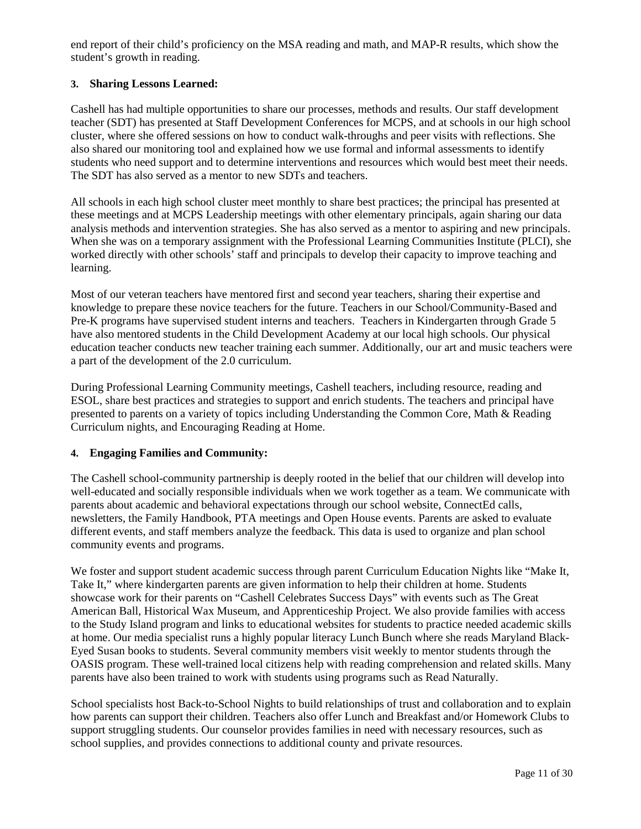end report of their child's proficiency on the MSA reading and math, and MAP-R results, which show the student's growth in reading.

# **3. Sharing Lessons Learned:**

Cashell has had multiple opportunities to share our processes, methods and results. Our staff development teacher (SDT) has presented at Staff Development Conferences for MCPS, and at schools in our high school cluster, where she offered sessions on how to conduct walk-throughs and peer visits with reflections. She also shared our monitoring tool and explained how we use formal and informal assessments to identify students who need support and to determine interventions and resources which would best meet their needs. The SDT has also served as a mentor to new SDTs and teachers.

All schools in each high school cluster meet monthly to share best practices; the principal has presented at these meetings and at MCPS Leadership meetings with other elementary principals, again sharing our data analysis methods and intervention strategies. She has also served as a mentor to aspiring and new principals. When she was on a temporary assignment with the Professional Learning Communities Institute (PLCI), she worked directly with other schools' staff and principals to develop their capacity to improve teaching and learning.

Most of our veteran teachers have mentored first and second year teachers, sharing their expertise and knowledge to prepare these novice teachers for the future. Teachers in our School/Community-Based and Pre-K programs have supervised student interns and teachers. Teachers in Kindergarten through Grade 5 have also mentored students in the Child Development Academy at our local high schools. Our physical education teacher conducts new teacher training each summer. Additionally, our art and music teachers were a part of the development of the 2.0 curriculum.

During Professional Learning Community meetings, Cashell teachers, including resource, reading and ESOL, share best practices and strategies to support and enrich students. The teachers and principal have presented to parents on a variety of topics including Understanding the Common Core, Math & Reading Curriculum nights, and Encouraging Reading at Home.

# **4. Engaging Families and Community:**

The Cashell school-community partnership is deeply rooted in the belief that our children will develop into well-educated and socially responsible individuals when we work together as a team. We communicate with parents about academic and behavioral expectations through our school website, ConnectEd calls, newsletters, the Family Handbook, PTA meetings and Open House events. Parents are asked to evaluate different events, and staff members analyze the feedback. This data is used to organize and plan school community events and programs.

We foster and support student academic success through parent Curriculum Education Nights like "Make It, Take It," where kindergarten parents are given information to help their children at home. Students showcase work for their parents on "Cashell Celebrates Success Days" with events such as The Great American Ball, Historical Wax Museum, and Apprenticeship Project. We also provide families with access to the Study Island program and links to educational websites for students to practice needed academic skills at home. Our media specialist runs a highly popular literacy Lunch Bunch where she reads Maryland Black-Eyed Susan books to students. Several community members visit weekly to mentor students through the OASIS program. These well-trained local citizens help with reading comprehension and related skills. Many parents have also been trained to work with students using programs such as Read Naturally.

School specialists host Back-to-School Nights to build relationships of trust and collaboration and to explain how parents can support their children. Teachers also offer Lunch and Breakfast and/or Homework Clubs to support struggling students. Our counselor provides families in need with necessary resources, such as school supplies, and provides connections to additional county and private resources.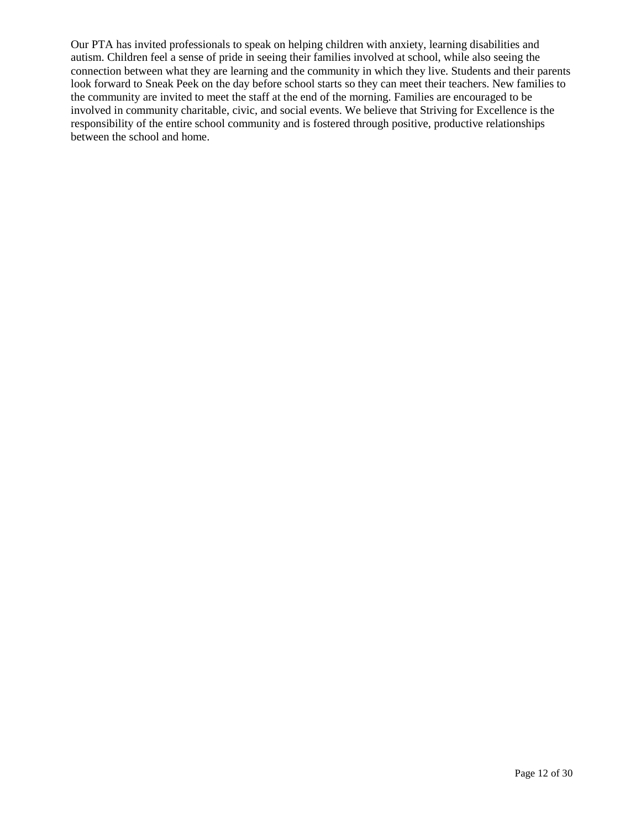Our PTA has invited professionals to speak on helping children with anxiety, learning disabilities and autism. Children feel a sense of pride in seeing their families involved at school, while also seeing the connection between what they are learning and the community in which they live. Students and their parents look forward to Sneak Peek on the day before school starts so they can meet their teachers. New families to the community are invited to meet the staff at the end of the morning. Families are encouraged to be involved in community charitable, civic, and social events. We believe that Striving for Excellence is the responsibility of the entire school community and is fostered through positive, productive relationships between the school and home.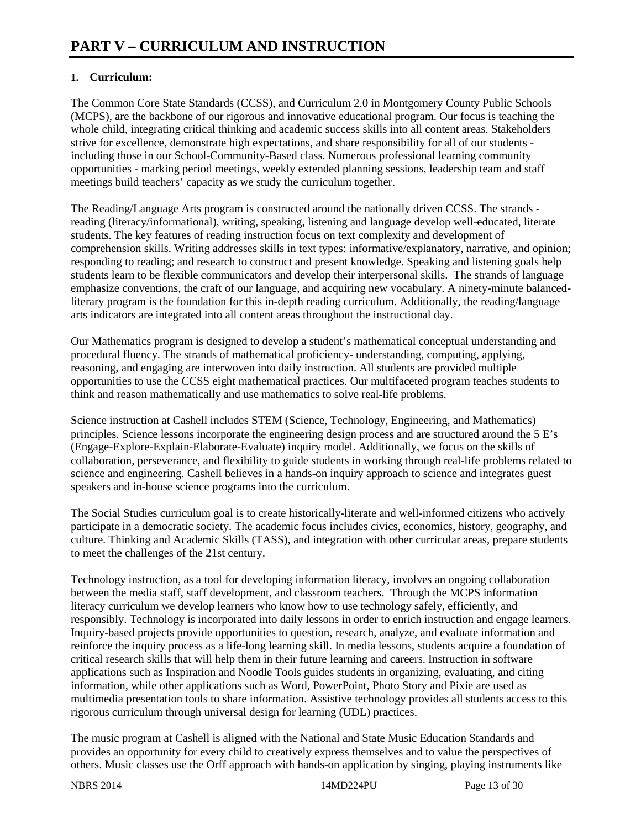# **1. Curriculum:**

The Common Core State Standards (CCSS), and Curriculum 2.0 in Montgomery County Public Schools (MCPS), are the backbone of our rigorous and innovative educational program. Our focus is teaching the whole child, integrating critical thinking and academic success skills into all content areas. Stakeholders strive for excellence, demonstrate high expectations, and share responsibility for all of our students including those in our School-Community-Based class. Numerous professional learning community opportunities - marking period meetings, weekly extended planning sessions, leadership team and staff meetings build teachers' capacity as we study the curriculum together.

The Reading/Language Arts program is constructed around the nationally driven CCSS. The strands reading (literacy/informational), writing, speaking, listening and language develop well-educated, literate students. The key features of reading instruction focus on text complexity and development of comprehension skills. Writing addresses skills in text types: informative/explanatory, narrative, and opinion; responding to reading; and research to construct and present knowledge. Speaking and listening goals help students learn to be flexible communicators and develop their interpersonal skills. The strands of language emphasize conventions, the craft of our language, and acquiring new vocabulary. A ninety-minute balancedliterary program is the foundation for this in-depth reading curriculum. Additionally, the reading/language arts indicators are integrated into all content areas throughout the instructional day.

Our Mathematics program is designed to develop a student's mathematical conceptual understanding and procedural fluency. The strands of mathematical proficiency- understanding, computing, applying, reasoning, and engaging are interwoven into daily instruction. All students are provided multiple opportunities to use the CCSS eight mathematical practices. Our multifaceted program teaches students to think and reason mathematically and use mathematics to solve real-life problems.

Science instruction at Cashell includes STEM (Science, Technology, Engineering, and Mathematics) principles. Science lessons incorporate the engineering design process and are structured around the 5 E's (Engage-Explore-Explain-Elaborate-Evaluate) inquiry model. Additionally, we focus on the skills of collaboration, perseverance, and flexibility to guide students in working through real-life problems related to science and engineering. Cashell believes in a hands-on inquiry approach to science and integrates guest speakers and in-house science programs into the curriculum.

The Social Studies curriculum goal is to create historically-literate and well-informed citizens who actively participate in a democratic society. The academic focus includes civics, economics, history, geography, and culture. Thinking and Academic Skills (TASS), and integration with other curricular areas, prepare students to meet the challenges of the 21st century.

Technology instruction, as a tool for developing information literacy, involves an ongoing collaboration between the media staff, staff development, and classroom teachers. Through the MCPS information literacy curriculum we develop learners who know how to use technology safely, efficiently, and responsibly. Technology is incorporated into daily lessons in order to enrich instruction and engage learners. Inquiry-based projects provide opportunities to question, research, analyze, and evaluate information and reinforce the inquiry process as a life-long learning skill. In media lessons, students acquire a foundation of critical research skills that will help them in their future learning and careers. Instruction in software applications such as Inspiration and Noodle Tools guides students in organizing, evaluating, and citing information, while other applications such as Word, PowerPoint, Photo Story and Pixie are used as multimedia presentation tools to share information. Assistive technology provides all students access to this rigorous curriculum through universal design for learning (UDL) practices.

The music program at Cashell is aligned with the National and State Music Education Standards and provides an opportunity for every child to creatively express themselves and to value the perspectives of others. Music classes use the Orff approach with hands-on application by singing, playing instruments like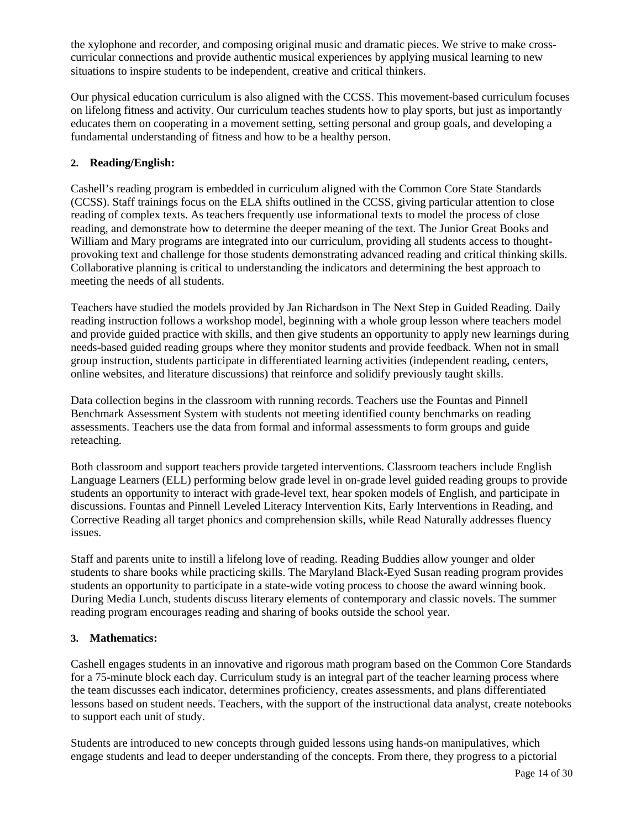the xylophone and recorder, and composing original music and dramatic pieces. We strive to make crosscurricular connections and provide authentic musical experiences by applying musical learning to new situations to inspire students to be independent, creative and critical thinkers.

Our physical education curriculum is also aligned with the CCSS. This movement-based curriculum focuses on lifelong fitness and activity. Our curriculum teaches students how to play sports, but just as importantly educates them on cooperating in a movement setting, setting personal and group goals, and developing a fundamental understanding of fitness and how to be a healthy person.

# **2. Reading/English:**

Cashell's reading program is embedded in curriculum aligned with the Common Core State Standards (CCSS). Staff trainings focus on the ELA shifts outlined in the CCSS, giving particular attention to close reading of complex texts. As teachers frequently use informational texts to model the process of close reading, and demonstrate how to determine the deeper meaning of the text. The Junior Great Books and William and Mary programs are integrated into our curriculum, providing all students access to thoughtprovoking text and challenge for those students demonstrating advanced reading and critical thinking skills. Collaborative planning is critical to understanding the indicators and determining the best approach to meeting the needs of all students.

Teachers have studied the models provided by Jan Richardson in The Next Step in Guided Reading. Daily reading instruction follows a workshop model, beginning with a whole group lesson where teachers model and provide guided practice with skills, and then give students an opportunity to apply new learnings during needs-based guided reading groups where they monitor students and provide feedback. When not in small group instruction, students participate in differentiated learning activities (independent reading, centers, online websites, and literature discussions) that reinforce and solidify previously taught skills.

Data collection begins in the classroom with running records. Teachers use the Fountas and Pinnell Benchmark Assessment System with students not meeting identified county benchmarks on reading assessments. Teachers use the data from formal and informal assessments to form groups and guide reteaching.

Both classroom and support teachers provide targeted interventions. Classroom teachers include English Language Learners (ELL) performing below grade level in on-grade level guided reading groups to provide students an opportunity to interact with grade-level text, hear spoken models of English, and participate in discussions. Fountas and Pinnell Leveled Literacy Intervention Kits, Early Interventions in Reading, and Corrective Reading all target phonics and comprehension skills, while Read Naturally addresses fluency issues.

Staff and parents unite to instill a lifelong love of reading. Reading Buddies allow younger and older students to share books while practicing skills. The Maryland Black-Eyed Susan reading program provides students an opportunity to participate in a state-wide voting process to choose the award winning book. During Media Lunch, students discuss literary elements of contemporary and classic novels. The summer reading program encourages reading and sharing of books outside the school year.

#### **3. Mathematics:**

Cashell engages students in an innovative and rigorous math program based on the Common Core Standards for a 75-minute block each day. Curriculum study is an integral part of the teacher learning process where the team discusses each indicator, determines proficiency, creates assessments, and plans differentiated lessons based on student needs. Teachers, with the support of the instructional data analyst, create notebooks to support each unit of study.

Students are introduced to new concepts through guided lessons using hands-on manipulatives, which engage students and lead to deeper understanding of the concepts. From there, they progress to a pictorial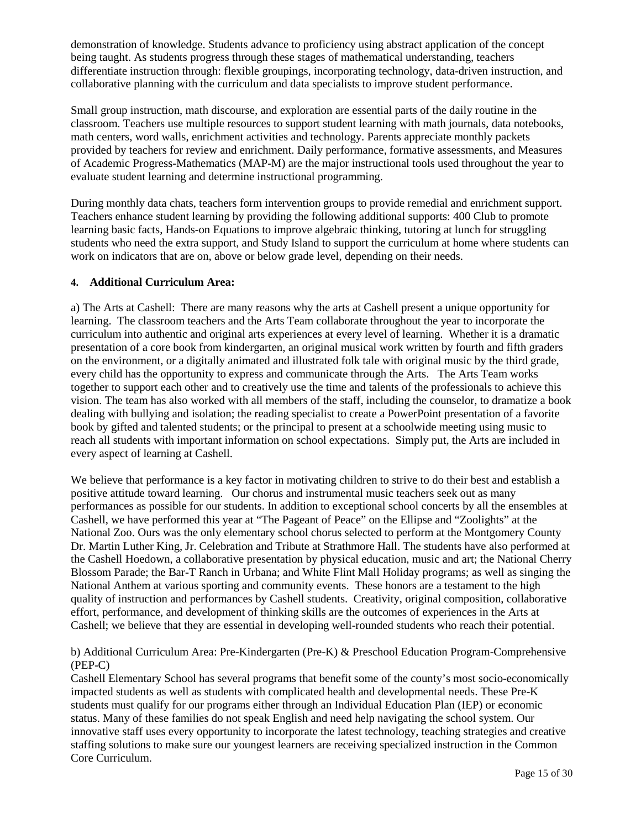demonstration of knowledge. Students advance to proficiency using abstract application of the concept being taught. As students progress through these stages of mathematical understanding, teachers differentiate instruction through: flexible groupings, incorporating technology, data-driven instruction, and collaborative planning with the curriculum and data specialists to improve student performance.

Small group instruction, math discourse, and exploration are essential parts of the daily routine in the classroom. Teachers use multiple resources to support student learning with math journals, data notebooks, math centers, word walls, enrichment activities and technology. Parents appreciate monthly packets provided by teachers for review and enrichment. Daily performance, formative assessments, and Measures of Academic Progress-Mathematics (MAP-M) are the major instructional tools used throughout the year to evaluate student learning and determine instructional programming.

During monthly data chats, teachers form intervention groups to provide remedial and enrichment support. Teachers enhance student learning by providing the following additional supports: 400 Club to promote learning basic facts, Hands-on Equations to improve algebraic thinking, tutoring at lunch for struggling students who need the extra support, and Study Island to support the curriculum at home where students can work on indicators that are on, above or below grade level, depending on their needs.

# **4. Additional Curriculum Area:**

a) The Arts at Cashell: There are many reasons why the arts at Cashell present a unique opportunity for learning. The classroom teachers and the Arts Team collaborate throughout the year to incorporate the curriculum into authentic and original arts experiences at every level of learning. Whether it is a dramatic presentation of a core book from kindergarten, an original musical work written by fourth and fifth graders on the environment, or a digitally animated and illustrated folk tale with original music by the third grade, every child has the opportunity to express and communicate through the Arts. The Arts Team works together to support each other and to creatively use the time and talents of the professionals to achieve this vision. The team has also worked with all members of the staff, including the counselor, to dramatize a book dealing with bullying and isolation; the reading specialist to create a PowerPoint presentation of a favorite book by gifted and talented students; or the principal to present at a schoolwide meeting using music to reach all students with important information on school expectations. Simply put, the Arts are included in every aspect of learning at Cashell.

We believe that performance is a key factor in motivating children to strive to do their best and establish a positive attitude toward learning. Our chorus and instrumental music teachers seek out as many performances as possible for our students. In addition to exceptional school concerts by all the ensembles at Cashell, we have performed this year at "The Pageant of Peace" on the Ellipse and "Zoolights" at the National Zoo. Ours was the only elementary school chorus selected to perform at the Montgomery County Dr. Martin Luther King, Jr. Celebration and Tribute at Strathmore Hall. The students have also performed at the Cashell Hoedown, a collaborative presentation by physical education, music and art; the National Cherry Blossom Parade; the Bar-T Ranch in Urbana; and White Flint Mall Holiday programs; as well as singing the National Anthem at various sporting and community events. These honors are a testament to the high quality of instruction and performances by Cashell students. Creativity, original composition, collaborative effort, performance, and development of thinking skills are the outcomes of experiences in the Arts at Cashell; we believe that they are essential in developing well-rounded students who reach their potential.

b) Additional Curriculum Area: Pre-Kindergarten (Pre-K) & Preschool Education Program-Comprehensive (PEP-C)

Cashell Elementary School has several programs that benefit some of the county's most socio-economically impacted students as well as students with complicated health and developmental needs. These Pre-K students must qualify for our programs either through an Individual Education Plan (IEP) or economic status. Many of these families do not speak English and need help navigating the school system. Our innovative staff uses every opportunity to incorporate the latest technology, teaching strategies and creative staffing solutions to make sure our youngest learners are receiving specialized instruction in the Common Core Curriculum.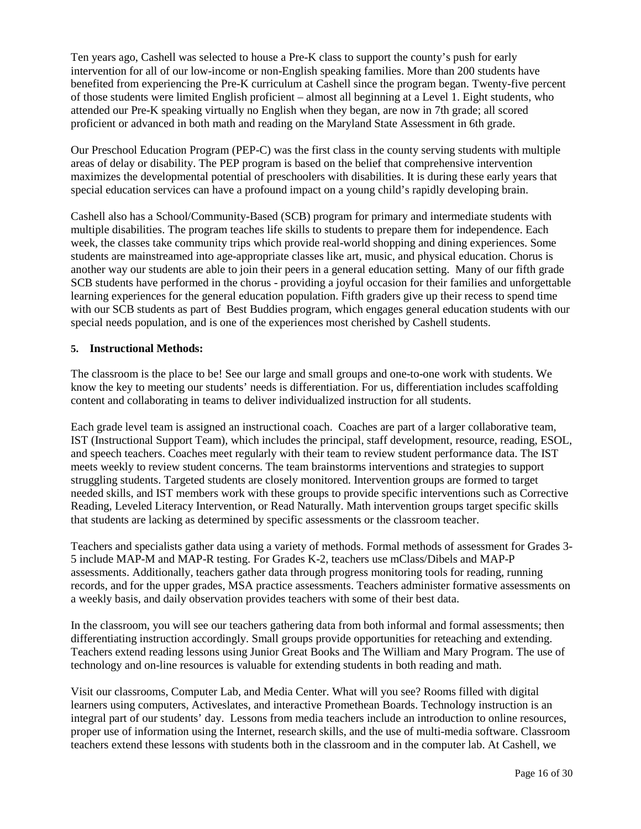Ten years ago, Cashell was selected to house a Pre-K class to support the county's push for early intervention for all of our low-income or non-English speaking families. More than 200 students have benefited from experiencing the Pre-K curriculum at Cashell since the program began. Twenty-five percent of those students were limited English proficient – almost all beginning at a Level 1. Eight students, who attended our Pre-K speaking virtually no English when they began, are now in 7th grade; all scored proficient or advanced in both math and reading on the Maryland State Assessment in 6th grade.

Our Preschool Education Program (PEP-C) was the first class in the county serving students with multiple areas of delay or disability. The PEP program is based on the belief that comprehensive intervention maximizes the developmental potential of preschoolers with disabilities. It is during these early years that special education services can have a profound impact on a young child's rapidly developing brain.

Cashell also has a School/Community-Based (SCB) program for primary and intermediate students with multiple disabilities. The program teaches life skills to students to prepare them for independence. Each week, the classes take community trips which provide real-world shopping and dining experiences. Some students are mainstreamed into age-appropriate classes like art, music, and physical education. Chorus is another way our students are able to join their peers in a general education setting. Many of our fifth grade SCB students have performed in the chorus - providing a joyful occasion for their families and unforgettable learning experiences for the general education population. Fifth graders give up their recess to spend time with our SCB students as part of Best Buddies program, which engages general education students with our special needs population, and is one of the experiences most cherished by Cashell students.

#### **5. Instructional Methods:**

The classroom is the place to be! See our large and small groups and one-to-one work with students. We know the key to meeting our students' needs is differentiation. For us, differentiation includes scaffolding content and collaborating in teams to deliver individualized instruction for all students.

Each grade level team is assigned an instructional coach. Coaches are part of a larger collaborative team, IST (Instructional Support Team), which includes the principal, staff development, resource, reading, ESOL, and speech teachers. Coaches meet regularly with their team to review student performance data. The IST meets weekly to review student concerns. The team brainstorms interventions and strategies to support struggling students. Targeted students are closely monitored. Intervention groups are formed to target needed skills, and IST members work with these groups to provide specific interventions such as Corrective Reading, Leveled Literacy Intervention, or Read Naturally. Math intervention groups target specific skills that students are lacking as determined by specific assessments or the classroom teacher.

Teachers and specialists gather data using a variety of methods. Formal methods of assessment for Grades 3- 5 include MAP-M and MAP-R testing. For Grades K-2, teachers use mClass/Dibels and MAP-P assessments. Additionally, teachers gather data through progress monitoring tools for reading, running records, and for the upper grades, MSA practice assessments. Teachers administer formative assessments on a weekly basis, and daily observation provides teachers with some of their best data.

In the classroom, you will see our teachers gathering data from both informal and formal assessments; then differentiating instruction accordingly. Small groups provide opportunities for reteaching and extending. Teachers extend reading lessons using Junior Great Books and The William and Mary Program. The use of technology and on-line resources is valuable for extending students in both reading and math.

Visit our classrooms, Computer Lab, and Media Center. What will you see? Rooms filled with digital learners using computers, Activeslates, and interactive Promethean Boards. Technology instruction is an integral part of our students' day. Lessons from media teachers include an introduction to online resources, proper use of information using the Internet, research skills, and the use of multi-media software. Classroom teachers extend these lessons with students both in the classroom and in the computer lab. At Cashell, we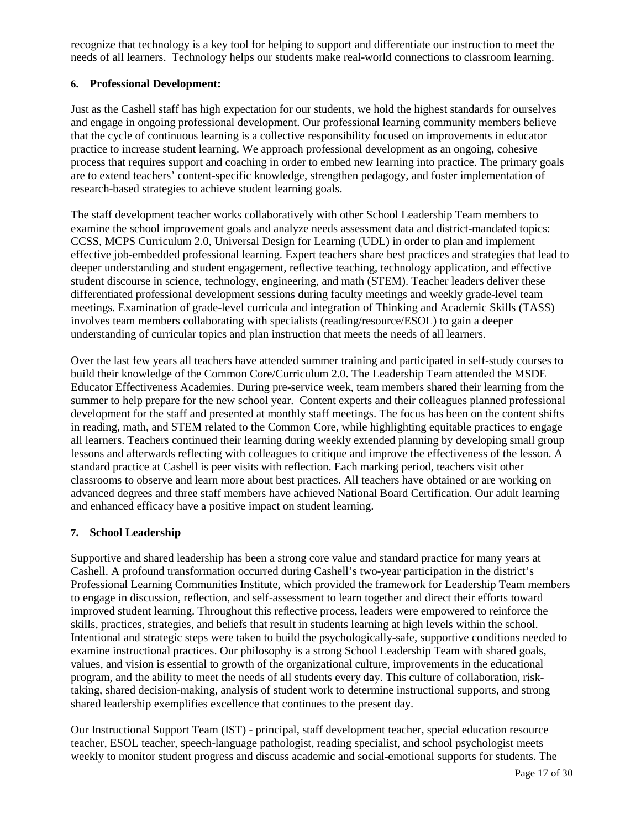recognize that technology is a key tool for helping to support and differentiate our instruction to meet the needs of all learners. Technology helps our students make real-world connections to classroom learning.

### **6. Professional Development:**

Just as the Cashell staff has high expectation for our students, we hold the highest standards for ourselves and engage in ongoing professional development. Our professional learning community members believe that the cycle of continuous learning is a collective responsibility focused on improvements in educator practice to increase student learning. We approach professional development as an ongoing, cohesive process that requires support and coaching in order to embed new learning into practice. The primary goals are to extend teachers' content-specific knowledge, strengthen pedagogy, and foster implementation of research-based strategies to achieve student learning goals.

The staff development teacher works collaboratively with other School Leadership Team members to examine the school improvement goals and analyze needs assessment data and district-mandated topics: CCSS, MCPS Curriculum 2.0, Universal Design for Learning (UDL) in order to plan and implement effective job-embedded professional learning. Expert teachers share best practices and strategies that lead to deeper understanding and student engagement, reflective teaching, technology application, and effective student discourse in science, technology, engineering, and math (STEM). Teacher leaders deliver these differentiated professional development sessions during faculty meetings and weekly grade-level team meetings. Examination of grade-level curricula and integration of Thinking and Academic Skills (TASS) involves team members collaborating with specialists (reading/resource/ESOL) to gain a deeper understanding of curricular topics and plan instruction that meets the needs of all learners.

Over the last few years all teachers have attended summer training and participated in self-study courses to build their knowledge of the Common Core/Curriculum 2.0. The Leadership Team attended the MSDE Educator Effectiveness Academies. During pre-service week, team members shared their learning from the summer to help prepare for the new school year. Content experts and their colleagues planned professional development for the staff and presented at monthly staff meetings. The focus has been on the content shifts in reading, math, and STEM related to the Common Core, while highlighting equitable practices to engage all learners. Teachers continued their learning during weekly extended planning by developing small group lessons and afterwards reflecting with colleagues to critique and improve the effectiveness of the lesson. A standard practice at Cashell is peer visits with reflection. Each marking period, teachers visit other classrooms to observe and learn more about best practices. All teachers have obtained or are working on advanced degrees and three staff members have achieved National Board Certification. Our adult learning and enhanced efficacy have a positive impact on student learning.

# **7. School Leadership**

Supportive and shared leadership has been a strong core value and standard practice for many years at Cashell. A profound transformation occurred during Cashell's two-year participation in the district's Professional Learning Communities Institute, which provided the framework for Leadership Team members to engage in discussion, reflection, and self-assessment to learn together and direct their efforts toward improved student learning. Throughout this reflective process, leaders were empowered to reinforce the skills, practices, strategies, and beliefs that result in students learning at high levels within the school. Intentional and strategic steps were taken to build the psychologically-safe, supportive conditions needed to examine instructional practices. Our philosophy is a strong School Leadership Team with shared goals, values, and vision is essential to growth of the organizational culture, improvements in the educational program, and the ability to meet the needs of all students every day. This culture of collaboration, risktaking, shared decision-making, analysis of student work to determine instructional supports, and strong shared leadership exemplifies excellence that continues to the present day.

Our Instructional Support Team (IST) - principal, staff development teacher, special education resource teacher, ESOL teacher, speech-language pathologist, reading specialist, and school psychologist meets weekly to monitor student progress and discuss academic and social-emotional supports for students. The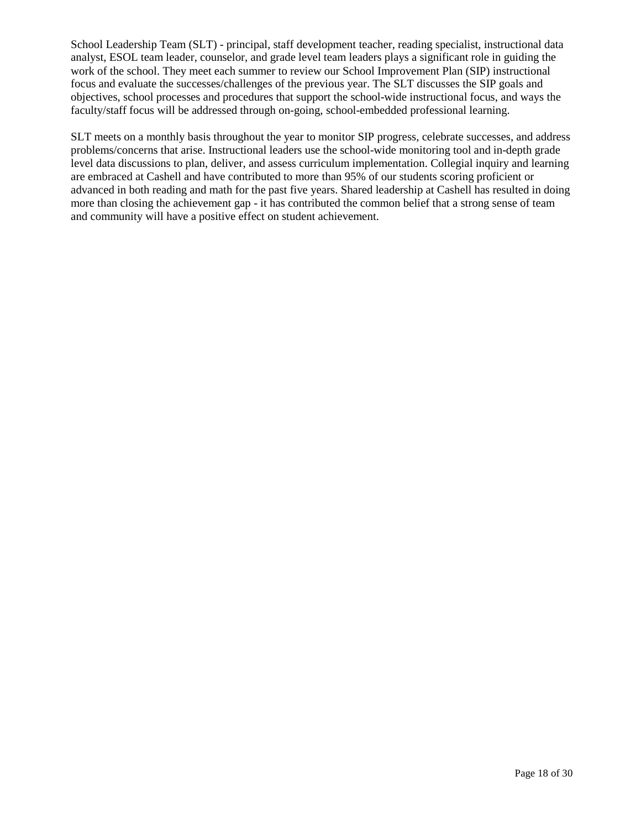School Leadership Team (SLT) - principal, staff development teacher, reading specialist, instructional data analyst, ESOL team leader, counselor, and grade level team leaders plays a significant role in guiding the work of the school. They meet each summer to review our School Improvement Plan (SIP) instructional focus and evaluate the successes/challenges of the previous year. The SLT discusses the SIP goals and objectives, school processes and procedures that support the school-wide instructional focus, and ways the faculty/staff focus will be addressed through on-going, school-embedded professional learning.

SLT meets on a monthly basis throughout the year to monitor SIP progress, celebrate successes, and address problems/concerns that arise. Instructional leaders use the school-wide monitoring tool and in-depth grade level data discussions to plan, deliver, and assess curriculum implementation. Collegial inquiry and learning are embraced at Cashell and have contributed to more than 95% of our students scoring proficient or advanced in both reading and math for the past five years. Shared leadership at Cashell has resulted in doing more than closing the achievement gap - it has contributed the common belief that a strong sense of team and community will have a positive effect on student achievement.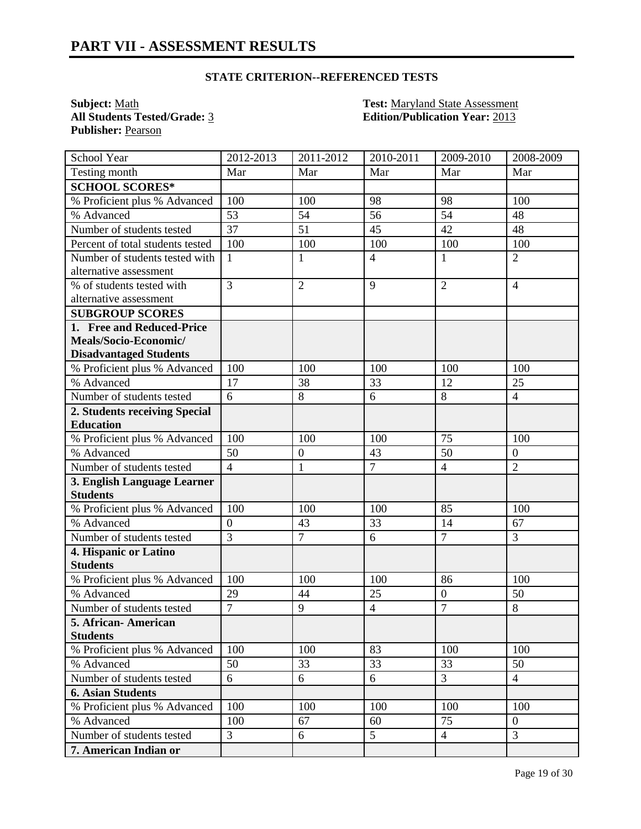**Subject:** <u>Math</u><br> **All Students Tested/Grade:** <u>3</u> **Test: Maryland State Assessment**<br> **Edition/Publication Year:** 2013 **Publisher:** Pearson

**All Students Tested/Grade:** 3 **Edition/Publication Year:** 2013

| School Year                      | 2012-2013        | 2011-2012        | 2010-2011      | 2009-2010        | 2008-2009        |
|----------------------------------|------------------|------------------|----------------|------------------|------------------|
| Testing month                    | Mar              | Mar              | Mar            | Mar              | Mar              |
| <b>SCHOOL SCORES*</b>            |                  |                  |                |                  |                  |
| % Proficient plus % Advanced     | 100              | 100              | 98             | 98               | 100              |
| % Advanced                       | 53               | 54               | 56             | 54               | 48               |
| Number of students tested        | 37               | 51               | 45             | 42               | 48               |
| Percent of total students tested | 100              | 100              | 100            | 100              | 100              |
| Number of students tested with   | $\mathbf{1}$     | $\mathbf{1}$     | $\overline{4}$ | $\mathbf{1}$     | $\overline{2}$   |
| alternative assessment           |                  |                  |                |                  |                  |
| % of students tested with        | $\overline{3}$   | $\overline{2}$   | 9              | $\overline{2}$   | $\overline{4}$   |
| alternative assessment           |                  |                  |                |                  |                  |
| <b>SUBGROUP SCORES</b>           |                  |                  |                |                  |                  |
| 1. Free and Reduced-Price        |                  |                  |                |                  |                  |
| Meals/Socio-Economic/            |                  |                  |                |                  |                  |
| <b>Disadvantaged Students</b>    |                  |                  |                |                  |                  |
| % Proficient plus % Advanced     | 100              | 100              | 100            | 100              | 100              |
| % Advanced                       | 17               | 38               | 33             | 12               | 25               |
| Number of students tested        | 6                | 8                | 6              | 8                | $\overline{4}$   |
| 2. Students receiving Special    |                  |                  |                |                  |                  |
| <b>Education</b>                 |                  |                  |                |                  |                  |
| % Proficient plus % Advanced     | 100              | 100              | 100            | 75               | 100              |
| % Advanced                       | 50               | $\boldsymbol{0}$ | 43             | 50               | $\boldsymbol{0}$ |
| Number of students tested        | $\overline{4}$   | $\mathbf{1}$     | $\overline{7}$ | $\overline{4}$   | $\overline{2}$   |
| 3. English Language Learner      |                  |                  |                |                  |                  |
| <b>Students</b>                  |                  |                  |                |                  |                  |
| % Proficient plus % Advanced     | 100              | 100              | 100            | 85               | 100              |
| % Advanced                       | $\boldsymbol{0}$ | 43               | 33             | 14               | 67               |
| Number of students tested        | $\overline{3}$   | $\overline{7}$   | 6              | $\overline{7}$   | 3                |
| 4. Hispanic or Latino            |                  |                  |                |                  |                  |
| <b>Students</b>                  |                  |                  |                |                  |                  |
| % Proficient plus % Advanced     | 100              | 100              | 100            | 86               | 100              |
| % Advanced                       | 29               | 44               | 25             | $\boldsymbol{0}$ | 50               |
| Number of students tested        | $\overline{7}$   | 9                | $\overline{4}$ | $\overline{7}$   | $8\,$            |
| 5. African - American            |                  |                  |                |                  |                  |
| <b>Students</b>                  |                  |                  |                |                  |                  |
| % Proficient plus % Advanced     | 100              | 100              | 83             | 100              | 100              |
| % Advanced                       | 50               | 33               | 33             | 33               | 50               |
| Number of students tested        | 6                | 6                | 6              | $\overline{3}$   | $\overline{4}$   |
| <b>6. Asian Students</b>         |                  |                  |                |                  |                  |
| % Proficient plus % Advanced     | 100              | 100              | 100            | 100              | 100              |
| % Advanced                       | 100              | 67               | 60             | 75               | $\boldsymbol{0}$ |
| Number of students tested        | 3                | 6                | 5              | $\overline{4}$   | 3                |
| 7. American Indian or            |                  |                  |                |                  |                  |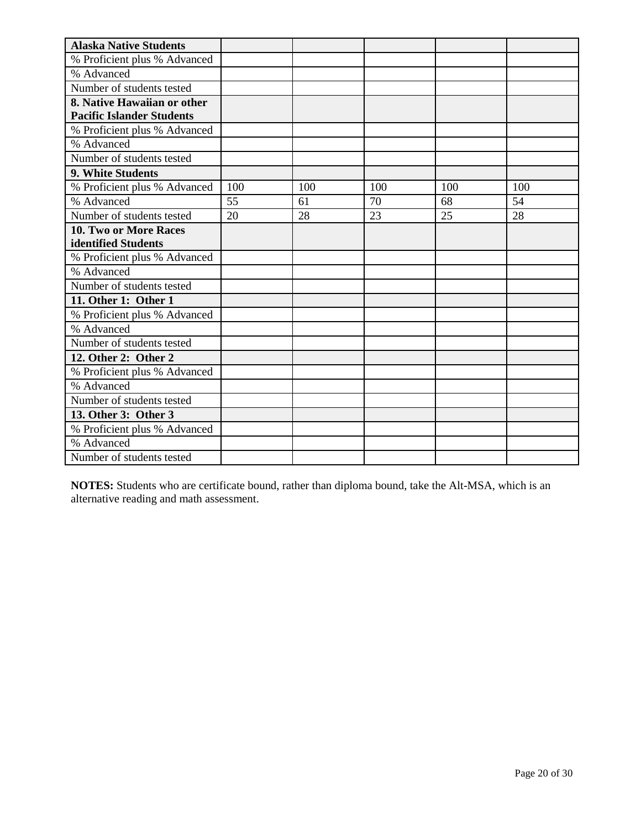| <b>Alaska Native Students</b>    |     |     |     |     |     |
|----------------------------------|-----|-----|-----|-----|-----|
| % Proficient plus % Advanced     |     |     |     |     |     |
| % Advanced                       |     |     |     |     |     |
| Number of students tested        |     |     |     |     |     |
| 8. Native Hawaiian or other      |     |     |     |     |     |
| <b>Pacific Islander Students</b> |     |     |     |     |     |
| % Proficient plus % Advanced     |     |     |     |     |     |
| % Advanced                       |     |     |     |     |     |
| Number of students tested        |     |     |     |     |     |
| 9. White Students                |     |     |     |     |     |
| % Proficient plus % Advanced     | 100 | 100 | 100 | 100 | 100 |
| % Advanced                       | 55  | 61  | 70  | 68  | 54  |
| Number of students tested        | 20  | 28  | 23  | 25  | 28  |
| 10. Two or More Races            |     |     |     |     |     |
| identified Students              |     |     |     |     |     |
| % Proficient plus % Advanced     |     |     |     |     |     |
| % Advanced                       |     |     |     |     |     |
| Number of students tested        |     |     |     |     |     |
| 11. Other 1: Other 1             |     |     |     |     |     |
| % Proficient plus % Advanced     |     |     |     |     |     |
| % Advanced                       |     |     |     |     |     |
| Number of students tested        |     |     |     |     |     |
| 12. Other 2: Other 2             |     |     |     |     |     |
| % Proficient plus % Advanced     |     |     |     |     |     |
| % Advanced                       |     |     |     |     |     |
| Number of students tested        |     |     |     |     |     |
| 13. Other 3: Other 3             |     |     |     |     |     |
| % Proficient plus % Advanced     |     |     |     |     |     |
| % Advanced                       |     |     |     |     |     |
| Number of students tested        |     |     |     |     |     |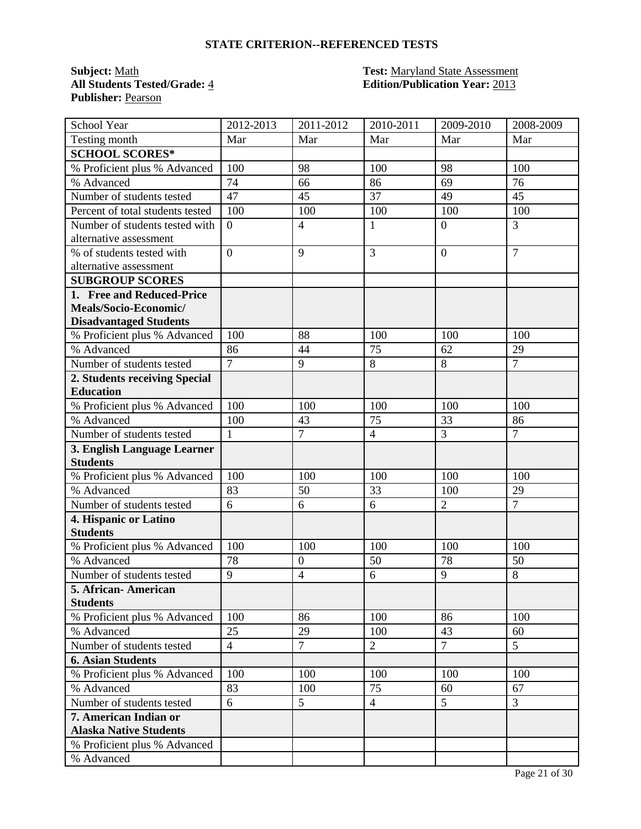**Publisher:** Pearson

#### **Subject:** Math **Test:** Maryland State Assessment **All Students Tested/Grade:** 4 **Edition/Publication Year:** 2013

| School Year                                    | 2012-2013      | 2011-2012            | 2010-2011      | 2009-2010            | 2008-2009            |
|------------------------------------------------|----------------|----------------------|----------------|----------------------|----------------------|
| Testing month                                  | Mar            | Mar                  | Mar            | Mar                  | Mar                  |
| <b>SCHOOL SCORES*</b>                          |                |                      |                |                      |                      |
| % Proficient plus % Advanced                   | 100            | 98                   | 100            | 98                   | 100                  |
| % Advanced                                     | 74             | 66                   | 86             | 69                   | 76                   |
| Number of students tested                      | 47             | 45                   | 37             | 49                   | 45                   |
| Percent of total students tested               | 100            | 100                  | 100            | 100                  | 100                  |
| Number of students tested with                 | $\overline{0}$ | $\overline{4}$       | $\mathbf{1}$   | $\overline{0}$       | 3                    |
| alternative assessment                         |                |                      |                |                      |                      |
| % of students tested with                      | $\overline{0}$ | 9                    | 3              | $\overline{0}$       | $\overline{7}$       |
| alternative assessment                         |                |                      |                |                      |                      |
| <b>SUBGROUP SCORES</b>                         |                |                      |                |                      |                      |
| 1. Free and Reduced-Price                      |                |                      |                |                      |                      |
| Meals/Socio-Economic/                          |                |                      |                |                      |                      |
| <b>Disadvantaged Students</b>                  |                |                      |                |                      |                      |
| % Proficient plus % Advanced                   | 100            | 88                   | 100            | 100                  | 100                  |
| % Advanced                                     | 86             | 44                   | 75             | 62                   | 29                   |
| Number of students tested                      | $\overline{7}$ | 9                    | 8              | $\overline{8}$       | $\overline{7}$       |
| 2. Students receiving Special                  |                |                      |                |                      |                      |
| <b>Education</b>                               |                |                      |                |                      |                      |
| % Proficient plus % Advanced                   | 100            | 100                  | 100            | 100                  | 100                  |
| % Advanced                                     | 100            | 43<br>$\overline{7}$ | 75             | 33<br>$\overline{3}$ | 86<br>$\overline{7}$ |
| Number of students tested                      | $\mathbf{1}$   |                      | $\overline{4}$ |                      |                      |
| 3. English Language Learner<br><b>Students</b> |                |                      |                |                      |                      |
| % Proficient plus % Advanced                   | 100            | 100                  | 100            | 100                  | 100                  |
| % Advanced                                     | 83             | 50                   | 33             | 100                  | 29                   |
| Number of students tested                      | 6              | 6                    | 6              | $\overline{2}$       | $\overline{7}$       |
| 4. Hispanic or Latino                          |                |                      |                |                      |                      |
| <b>Students</b>                                |                |                      |                |                      |                      |
| % Proficient plus % Advanced                   | 100            | 100                  | 100            | 100                  | 100                  |
| % Advanced                                     | 78             | $\boldsymbol{0}$     | 50             | 78                   | 50                   |
| Number of students tested                      | 9              | $\overline{4}$       | 6              | 9                    | 8                    |
| 5. African-American                            |                |                      |                |                      |                      |
| <b>Students</b>                                |                |                      |                |                      |                      |
| % Proficient plus % Advanced                   | 100            | 86                   | 100            | 86                   | 100                  |
| % Advanced                                     | 25             | 29                   | 100            | 43                   | 60                   |
| Number of students tested                      | $\overline{4}$ | $\overline{7}$       | $\overline{2}$ | $\overline{7}$       | 5                    |
| <b>6. Asian Students</b>                       |                |                      |                |                      |                      |
| % Proficient plus % Advanced                   | 100            | 100                  | 100            | 100                  | 100                  |
| % Advanced                                     | 83             | 100                  | 75             | 60                   | 67                   |
| Number of students tested                      | 6              | 5                    | $\overline{4}$ | 5                    | $\overline{3}$       |
| 7. American Indian or                          |                |                      |                |                      |                      |
| <b>Alaska Native Students</b>                  |                |                      |                |                      |                      |
| % Proficient plus % Advanced                   |                |                      |                |                      |                      |
| % Advanced                                     |                |                      |                |                      |                      |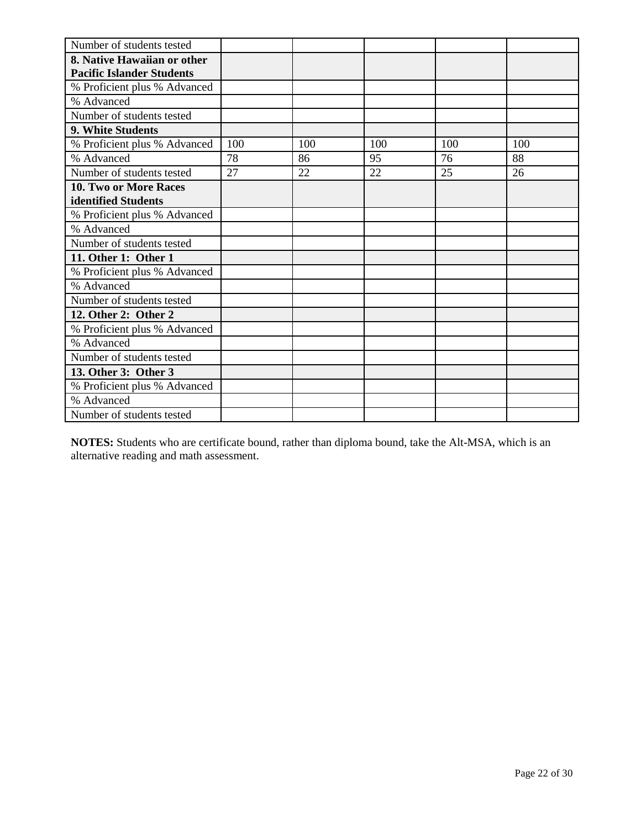| Number of students tested        |     |     |     |     |     |
|----------------------------------|-----|-----|-----|-----|-----|
| 8. Native Hawaiian or other      |     |     |     |     |     |
| <b>Pacific Islander Students</b> |     |     |     |     |     |
| % Proficient plus % Advanced     |     |     |     |     |     |
| % Advanced                       |     |     |     |     |     |
| Number of students tested        |     |     |     |     |     |
| 9. White Students                |     |     |     |     |     |
| % Proficient plus % Advanced     | 100 | 100 | 100 | 100 | 100 |
| % Advanced                       | 78  | 86  | 95  | 76  | 88  |
| Number of students tested        | 27  | 22  | 22  | 25  | 26  |
| 10. Two or More Races            |     |     |     |     |     |
| identified Students              |     |     |     |     |     |
| % Proficient plus % Advanced     |     |     |     |     |     |
| % Advanced                       |     |     |     |     |     |
| Number of students tested        |     |     |     |     |     |
| 11. Other 1: Other 1             |     |     |     |     |     |
| % Proficient plus % Advanced     |     |     |     |     |     |
| % Advanced                       |     |     |     |     |     |
| Number of students tested        |     |     |     |     |     |
| 12. Other 2: Other 2             |     |     |     |     |     |
| % Proficient plus % Advanced     |     |     |     |     |     |
| % Advanced                       |     |     |     |     |     |
| Number of students tested        |     |     |     |     |     |
| 13. Other 3: Other 3             |     |     |     |     |     |
| % Proficient plus % Advanced     |     |     |     |     |     |
| % Advanced                       |     |     |     |     |     |
| Number of students tested        |     |     |     |     |     |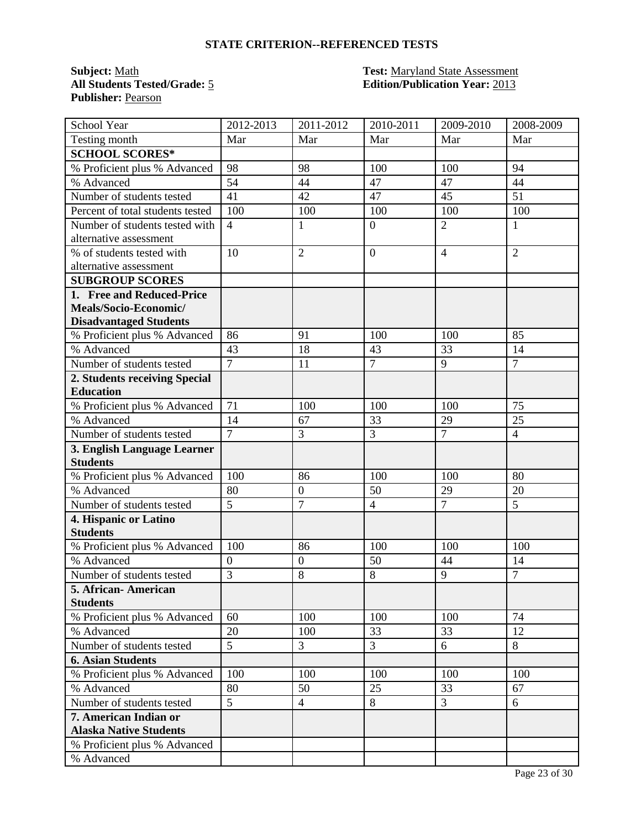**Publisher:** Pearson

#### **Subject:** Math **Test:** Maryland State Assessment **All Students Tested/Grade:** 5 **Edition/Publication Year:** 2013

| School Year                                    | 2012-2013        | $2011 - 2012$    | 2010-2011      | 2009-2010      | 2008-2009       |
|------------------------------------------------|------------------|------------------|----------------|----------------|-----------------|
| Testing month                                  | Mar              | Mar              | Mar            | Mar            | Mar             |
| <b>SCHOOL SCORES*</b>                          |                  |                  |                |                |                 |
| % Proficient plus % Advanced                   | 98               | 98               | 100            | 100            | 94              |
| % Advanced                                     | 54               | 44               | 47             | 47             | 44              |
| Number of students tested                      | 41               | 42               | 47             | 45             | 51              |
| Percent of total students tested               | 100              | 100              | 100            | 100            | 100             |
| Number of students tested with                 | $\overline{4}$   | 1                | $\mathbf{0}$   | $\overline{2}$ | 1               |
| alternative assessment                         |                  |                  |                |                |                 |
| % of students tested with                      | 10               | $\overline{2}$   | $\overline{0}$ | $\overline{4}$ | $\overline{2}$  |
| alternative assessment                         |                  |                  |                |                |                 |
| <b>SUBGROUP SCORES</b>                         |                  |                  |                |                |                 |
| 1. Free and Reduced-Price                      |                  |                  |                |                |                 |
| Meals/Socio-Economic/                          |                  |                  |                |                |                 |
| <b>Disadvantaged Students</b>                  |                  |                  |                |                |                 |
| % Proficient plus % Advanced                   | 86               | 91               | 100            | 100            | 85              |
| % Advanced                                     | 43               | 18               | 43             | 33             | 14              |
| Number of students tested                      | $\overline{7}$   | 11               | $\overline{7}$ | 9              | $\tau$          |
| 2. Students receiving Special                  |                  |                  |                |                |                 |
| <b>Education</b>                               |                  |                  |                |                |                 |
| % Proficient plus % Advanced                   | 71               | 100              | 100            | 100            | 75              |
| % Advanced                                     | 14               | 67               | 33             | 29             | $\overline{25}$ |
| Number of students tested                      | $\overline{7}$   | 3                | $\overline{3}$ | $\overline{7}$ | $\overline{4}$  |
| 3. English Language Learner<br><b>Students</b> |                  |                  |                |                |                 |
| % Proficient plus % Advanced                   | 100              | 86               | 100            | 100            | 80              |
| % Advanced                                     | 80               | $\boldsymbol{0}$ | 50             | 29             | 20              |
| Number of students tested                      | 5                | $\overline{7}$   | $\overline{4}$ | $\overline{7}$ | 5               |
| 4. Hispanic or Latino                          |                  |                  |                |                |                 |
| <b>Students</b>                                |                  |                  |                |                |                 |
| % Proficient plus % Advanced                   | 100              | 86               | 100            | 100            | 100             |
| % Advanced                                     | $\boldsymbol{0}$ | $\boldsymbol{0}$ | 50             | 44             | 14              |
| Number of students tested                      | $\overline{3}$   | 8                | 8              | 9              | $\overline{7}$  |
| 5. African- American                           |                  |                  |                |                |                 |
| <b>Students</b>                                |                  |                  |                |                |                 |
| % Proficient plus % Advanced                   | 60               | 100              | 100            | 100            | 74              |
| % Advanced                                     | 20               | 100              | 33             | 33             | 12              |
| Number of students tested                      | $\overline{5}$   | 3                | $\overline{3}$ | 6              | 8               |
| <b>6. Asian Students</b>                       |                  |                  |                |                |                 |
| % Proficient plus % Advanced                   | 100              | 100              | 100            | 100            | 100             |
| % Advanced                                     | 80               | 50               | 25             | 33             | 67              |
| Number of students tested                      | 5                | $\overline{4}$   | $8\,$          | $\overline{3}$ | 6               |
| 7. American Indian or                          |                  |                  |                |                |                 |
| <b>Alaska Native Students</b>                  |                  |                  |                |                |                 |
| % Proficient plus % Advanced                   |                  |                  |                |                |                 |
| % Advanced                                     |                  |                  |                |                |                 |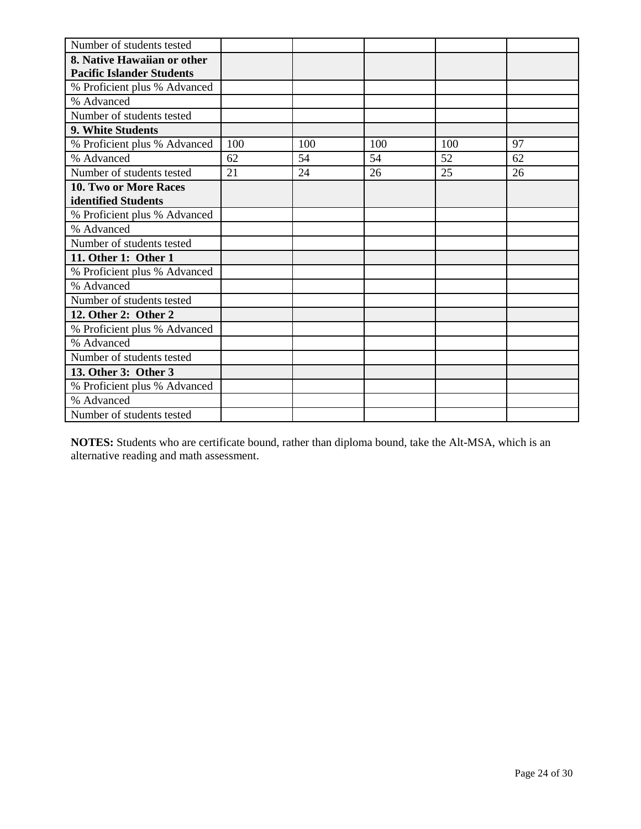| Number of students tested        |     |     |     |     |    |
|----------------------------------|-----|-----|-----|-----|----|
| 8. Native Hawaiian or other      |     |     |     |     |    |
| <b>Pacific Islander Students</b> |     |     |     |     |    |
| % Proficient plus % Advanced     |     |     |     |     |    |
| % Advanced                       |     |     |     |     |    |
| Number of students tested        |     |     |     |     |    |
| 9. White Students                |     |     |     |     |    |
| % Proficient plus % Advanced     | 100 | 100 | 100 | 100 | 97 |
| % Advanced                       | 62  | 54  | 54  | 52  | 62 |
| Number of students tested        | 21  | 24  | 26  | 25  | 26 |
| 10. Two or More Races            |     |     |     |     |    |
| identified Students              |     |     |     |     |    |
| % Proficient plus % Advanced     |     |     |     |     |    |
| % Advanced                       |     |     |     |     |    |
| Number of students tested        |     |     |     |     |    |
| 11. Other 1: Other 1             |     |     |     |     |    |
| % Proficient plus % Advanced     |     |     |     |     |    |
| % Advanced                       |     |     |     |     |    |
| Number of students tested        |     |     |     |     |    |
| 12. Other 2: Other 2             |     |     |     |     |    |
| % Proficient plus % Advanced     |     |     |     |     |    |
| % Advanced                       |     |     |     |     |    |
| Number of students tested        |     |     |     |     |    |
| 13. Other 3: Other 3             |     |     |     |     |    |
| % Proficient plus % Advanced     |     |     |     |     |    |
| % Advanced                       |     |     |     |     |    |
| Number of students tested        |     |     |     |     |    |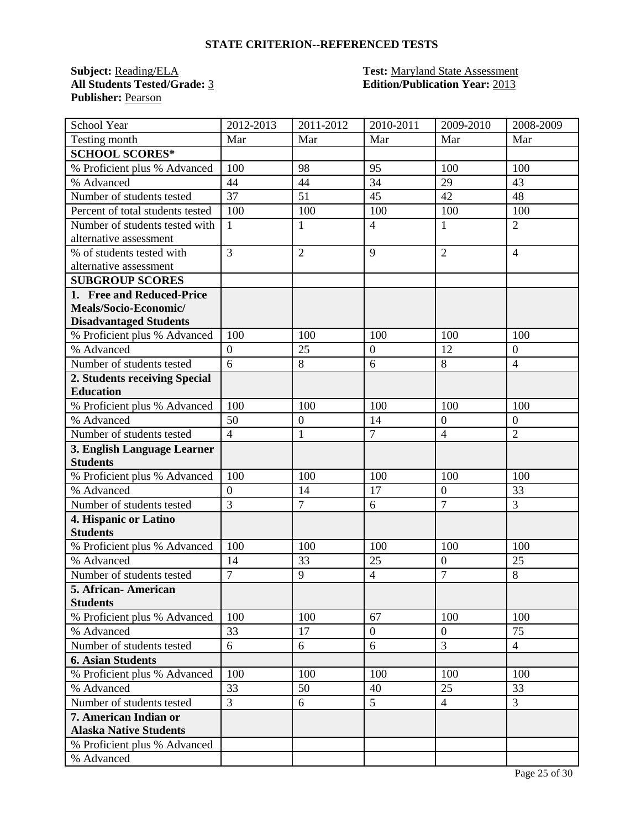**Publisher:** Pearson

#### **Subject:** Reading/ELA **Test:** Maryland State Assessment **All Students Tested/Grade:** 3 **Edition/Publication Year:** 2013

| School Year                      | 2012-2013        | 2011-2012        | 2010-2011      | 2009-2010        | 2008-2009      |
|----------------------------------|------------------|------------------|----------------|------------------|----------------|
| Testing month                    | Mar              | Mar              | Mar            | Mar              | Mar            |
| <b>SCHOOL SCORES*</b>            |                  |                  |                |                  |                |
| % Proficient plus % Advanced     | 100              | 98               | 95             | 100              | 100            |
| % Advanced                       | 44               | 44               | 34             | 29               | 43             |
| Number of students tested        | 37               | 51               | 45             | 42               | 48             |
| Percent of total students tested | 100              | 100              | 100            | 100              | 100            |
| Number of students tested with   | 1                | $\mathbf{1}$     | $\overline{4}$ | 1                | $\overline{2}$ |
| alternative assessment           |                  |                  |                |                  |                |
| % of students tested with        | $\overline{3}$   | $\overline{2}$   | 9              | $\overline{2}$   | $\overline{4}$ |
| alternative assessment           |                  |                  |                |                  |                |
| <b>SUBGROUP SCORES</b>           |                  |                  |                |                  |                |
| 1. Free and Reduced-Price        |                  |                  |                |                  |                |
| Meals/Socio-Economic/            |                  |                  |                |                  |                |
| <b>Disadvantaged Students</b>    |                  |                  |                |                  |                |
| % Proficient plus % Advanced     | 100              | 100              | 100            | 100              | 100            |
| % Advanced                       | $\overline{0}$   | 25               | $\overline{0}$ | 12               | $\overline{0}$ |
| Number of students tested        | 6                | 8                | 6              | 8                | $\overline{4}$ |
| 2. Students receiving Special    |                  |                  |                |                  |                |
| <b>Education</b>                 |                  |                  |                |                  |                |
| % Proficient plus % Advanced     | 100              | 100              | 100            | 100              | 100            |
| % Advanced                       | 50               | $\boldsymbol{0}$ | 14             | $\overline{0}$   | $\overline{0}$ |
| Number of students tested        | $\overline{4}$   | $\mathbf{1}$     | $\overline{7}$ | $\overline{4}$   | $\overline{2}$ |
| 3. English Language Learner      |                  |                  |                |                  |                |
| <b>Students</b>                  |                  |                  |                |                  |                |
| % Proficient plus % Advanced     | 100              | 100              | 100            | 100              | 100            |
| % Advanced                       | $\boldsymbol{0}$ | 14               | 17             | $\boldsymbol{0}$ | 33             |
| Number of students tested        | 3                | $\overline{7}$   | 6              | $\overline{7}$   | 3              |
| 4. Hispanic or Latino            |                  |                  |                |                  |                |
| <b>Students</b>                  |                  |                  |                |                  |                |
| % Proficient plus % Advanced     | 100              | 100              | 100            | 100              | 100            |
| % Advanced                       | 14               | 33               | 25             | $\overline{0}$   | 25             |
| Number of students tested        | $\overline{7}$   | 9                | $\overline{4}$ | $\overline{7}$   | 8              |
| 5. African- American             |                  |                  |                |                  |                |
| <b>Students</b>                  |                  |                  |                |                  |                |
| % Proficient plus % Advanced     | 100              | 100              | 67             | 100              | 100            |
| % Advanced                       | 33               | 17               | $\overline{0}$ | $\overline{0}$   | 75             |
| Number of students tested        | 6                | 6                | 6              | $\overline{3}$   | $\overline{4}$ |
| <b>6. Asian Students</b>         |                  |                  |                |                  |                |
| % Proficient plus % Advanced     | 100              | 100              | 100            | 100              | 100            |
| % Advanced                       | 33               | 50               | 40             | 25               | 33             |
| Number of students tested        | 3                | 6                | 5              | $\overline{4}$   | $\overline{3}$ |
| 7. American Indian or            |                  |                  |                |                  |                |
| <b>Alaska Native Students</b>    |                  |                  |                |                  |                |
| % Proficient plus % Advanced     |                  |                  |                |                  |                |
| % Advanced                       |                  |                  |                |                  |                |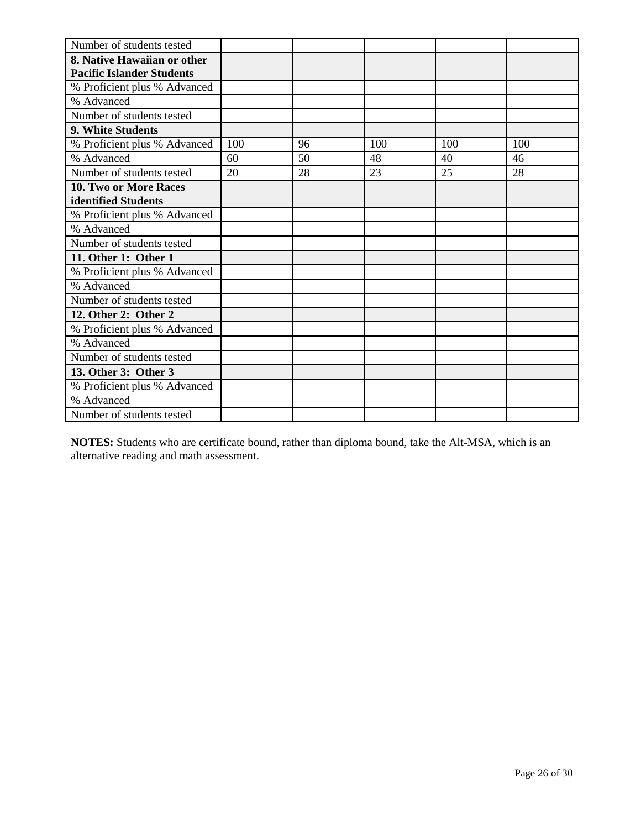| Number of students tested        |     |    |     |     |     |
|----------------------------------|-----|----|-----|-----|-----|
| 8. Native Hawaiian or other      |     |    |     |     |     |
| <b>Pacific Islander Students</b> |     |    |     |     |     |
| % Proficient plus % Advanced     |     |    |     |     |     |
| % Advanced                       |     |    |     |     |     |
| Number of students tested        |     |    |     |     |     |
| 9. White Students                |     |    |     |     |     |
| % Proficient plus % Advanced     | 100 | 96 | 100 | 100 | 100 |
| % Advanced                       | 60  | 50 | 48  | 40  | 46  |
| Number of students tested        | 20  | 28 | 23  | 25  | 28  |
| 10. Two or More Races            |     |    |     |     |     |
| identified Students              |     |    |     |     |     |
| % Proficient plus % Advanced     |     |    |     |     |     |
| % Advanced                       |     |    |     |     |     |
| Number of students tested        |     |    |     |     |     |
| 11. Other 1: Other 1             |     |    |     |     |     |
| % Proficient plus % Advanced     |     |    |     |     |     |
| % Advanced                       |     |    |     |     |     |
| Number of students tested        |     |    |     |     |     |
| 12. Other 2: Other 2             |     |    |     |     |     |
| % Proficient plus % Advanced     |     |    |     |     |     |
| % Advanced                       |     |    |     |     |     |
| Number of students tested        |     |    |     |     |     |
| 13. Other 3: Other 3             |     |    |     |     |     |
| % Proficient plus % Advanced     |     |    |     |     |     |
| % Advanced                       |     |    |     |     |     |
| Number of students tested        |     |    |     |     |     |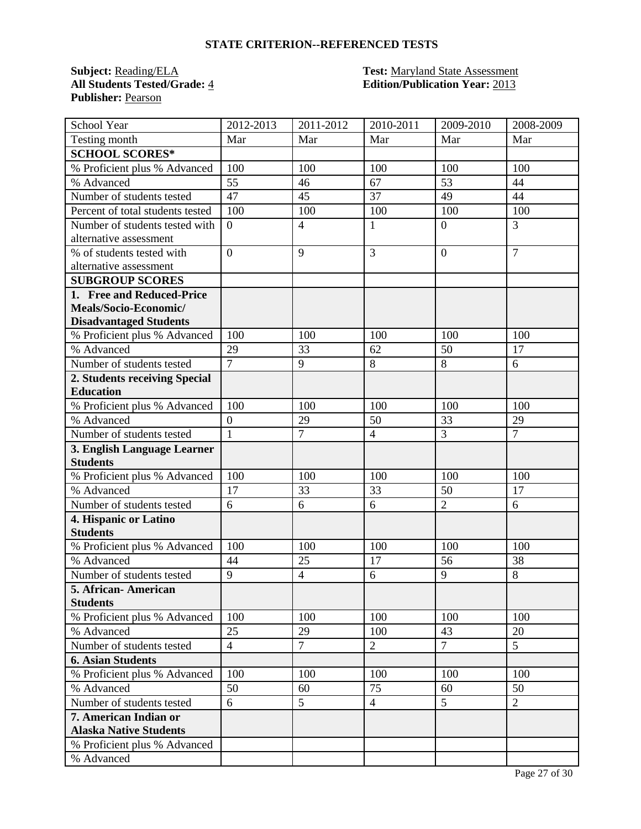**Publisher:** Pearson

#### **Subject:** Reading/ELA **Test:** Maryland State Assessment **All Students Tested/Grade:** 4 **Edition/Publication Year:** 2013

| <b>School Year</b>               | 2012-2013      | 2011-2012      | 2010-2011      | 2009-2010      | 2008-2009      |
|----------------------------------|----------------|----------------|----------------|----------------|----------------|
| Testing month                    | Mar            | Mar            | Mar            | Mar            | Mar            |
| <b>SCHOOL SCORES*</b>            |                |                |                |                |                |
| % Proficient plus % Advanced     | 100            | 100            | 100            | 100            | 100            |
| % Advanced                       | 55             | 46             | 67             | 53             | 44             |
| Number of students tested        | 47             | 45             | 37             | 49             | 44             |
| Percent of total students tested | 100            | 100            | 100            | 100            | 100            |
| Number of students tested with   | $\overline{0}$ | $\overline{4}$ | $\mathbf{1}$   | $\overline{0}$ | 3              |
| alternative assessment           |                |                |                |                |                |
| % of students tested with        | $\overline{0}$ | 9              | 3              | $\overline{0}$ | $\overline{7}$ |
| alternative assessment           |                |                |                |                |                |
| <b>SUBGROUP SCORES</b>           |                |                |                |                |                |
| 1. Free and Reduced-Price        |                |                |                |                |                |
| Meals/Socio-Economic/            |                |                |                |                |                |
| <b>Disadvantaged Students</b>    |                |                |                |                |                |
| % Proficient plus % Advanced     | 100            | 100            | 100            | 100            | 100            |
| % Advanced                       | 29             | 33             | 62             | 50             | 17             |
| Number of students tested        | $\overline{7}$ | 9              | 8              | 8              | 6              |
| 2. Students receiving Special    |                |                |                |                |                |
| <b>Education</b>                 |                |                |                |                |                |
| % Proficient plus % Advanced     | 100            | 100            | 100            | 100            | 100            |
| % Advanced                       | $\overline{0}$ | 29             | 50             | 33             | 29             |
| Number of students tested        | $\mathbf{1}$   | $\overline{7}$ | $\overline{4}$ | $\overline{3}$ | $\overline{7}$ |
| 3. English Language Learner      |                |                |                |                |                |
| <b>Students</b>                  |                |                |                |                |                |
| % Proficient plus % Advanced     | 100            | 100            | 100            | 100            | 100            |
| % Advanced                       | 17             | 33             | 33             | 50             | 17             |
| Number of students tested        | 6              | 6              | 6              | $\overline{2}$ | 6              |
| 4. Hispanic or Latino            |                |                |                |                |                |
| <b>Students</b>                  |                |                |                |                |                |
| % Proficient plus % Advanced     | 100            | 100            | 100            | 100            | 100            |
| % Advanced                       | 44             | 25             | 17             | 56             | 38             |
| Number of students tested        | 9              | $\overline{4}$ | 6              | 9              | 8              |
| 5. African- American             |                |                |                |                |                |
| <b>Students</b>                  |                |                |                |                |                |
| % Proficient plus % Advanced     | 100            | 100            | 100            | 100            | 100            |
| % Advanced                       | 25             | 29             | 100            | 43             | 20             |
| Number of students tested        | $\overline{4}$ | $\overline{7}$ | $\overline{2}$ | $\overline{7}$ | 5              |
| <b>6. Asian Students</b>         |                |                |                |                |                |
| % Proficient plus % Advanced     | 100            | 100            | 100            | 100            | 100            |
| % Advanced                       | 50             | 60             | 75             | 60             | 50             |
| Number of students tested        | 6              | 5              | $\overline{4}$ | $\overline{5}$ | $\overline{2}$ |
| 7. American Indian or            |                |                |                |                |                |
| <b>Alaska Native Students</b>    |                |                |                |                |                |
| % Proficient plus % Advanced     |                |                |                |                |                |
| % Advanced                       |                |                |                |                |                |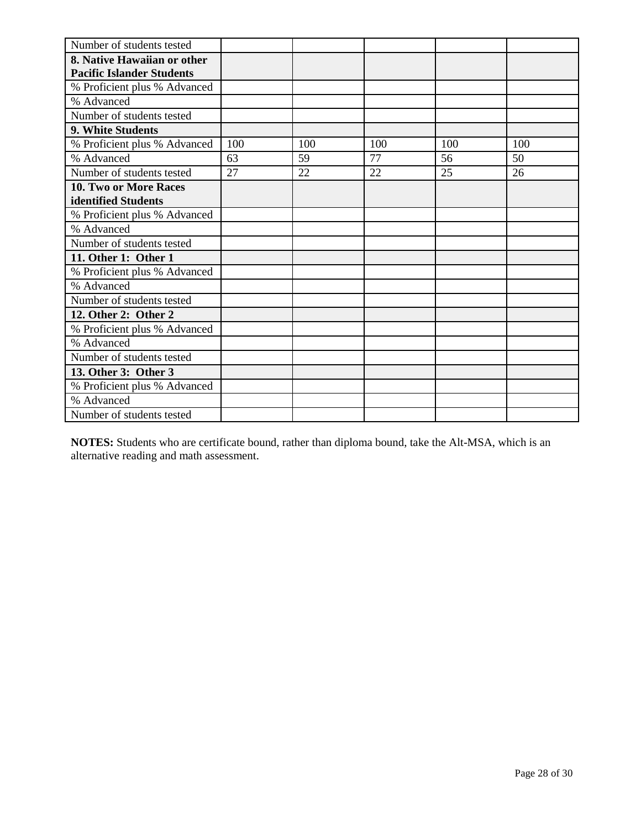| Number of students tested        |     |     |     |     |     |
|----------------------------------|-----|-----|-----|-----|-----|
| 8. Native Hawaiian or other      |     |     |     |     |     |
| <b>Pacific Islander Students</b> |     |     |     |     |     |
| % Proficient plus % Advanced     |     |     |     |     |     |
| % Advanced                       |     |     |     |     |     |
| Number of students tested        |     |     |     |     |     |
| 9. White Students                |     |     |     |     |     |
| % Proficient plus % Advanced     | 100 | 100 | 100 | 100 | 100 |
| % Advanced                       | 63  | 59  | 77  | 56  | 50  |
| Number of students tested        | 27  | 22  | 22  | 25  | 26  |
| <b>10. Two or More Races</b>     |     |     |     |     |     |
| identified Students              |     |     |     |     |     |
| % Proficient plus % Advanced     |     |     |     |     |     |
| % Advanced                       |     |     |     |     |     |
| Number of students tested        |     |     |     |     |     |
| 11. Other 1: Other 1             |     |     |     |     |     |
| % Proficient plus % Advanced     |     |     |     |     |     |
| % Advanced                       |     |     |     |     |     |
| Number of students tested        |     |     |     |     |     |
| 12. Other 2: Other 2             |     |     |     |     |     |
| % Proficient plus % Advanced     |     |     |     |     |     |
| % Advanced                       |     |     |     |     |     |
| Number of students tested        |     |     |     |     |     |
| 13. Other 3: Other 3             |     |     |     |     |     |
| % Proficient plus % Advanced     |     |     |     |     |     |
| % Advanced                       |     |     |     |     |     |
| Number of students tested        |     |     |     |     |     |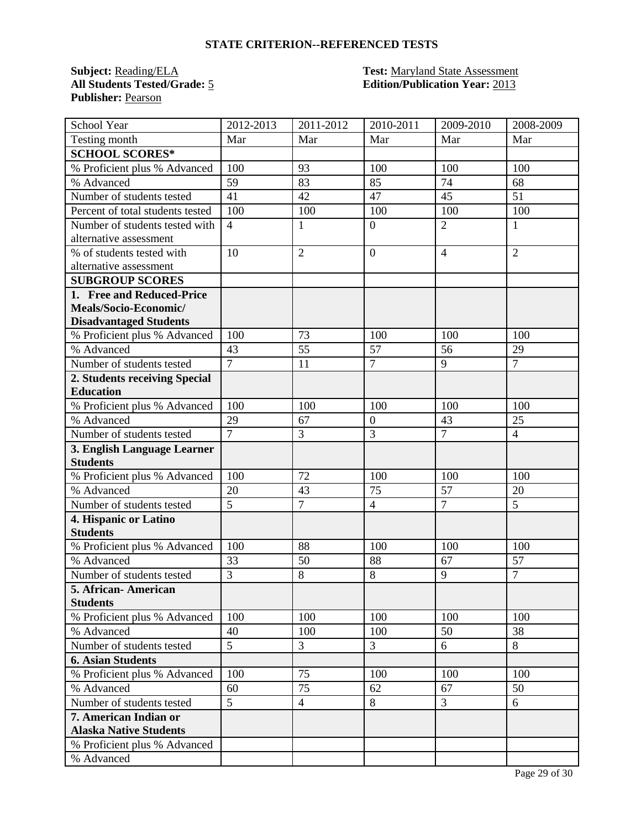**Publisher:** Pearson

#### **Subject:** Reading/ELA **Test:** Maryland State Assessment **All Students Tested/Grade:** 5 **Edition/Publication Year:** 2013

| School Year                                    | 2012-2013      | 2011-2012      | 2010-2011        | 2009-2010      | 2008-2009      |
|------------------------------------------------|----------------|----------------|------------------|----------------|----------------|
| Testing month                                  | Mar            | Mar            | Mar              | Mar            | Mar            |
| <b>SCHOOL SCORES*</b>                          |                |                |                  |                |                |
| % Proficient plus % Advanced                   | 100            | 93             | 100              | 100            | 100            |
| % Advanced                                     | 59             | 83             | 85               | 74             | 68             |
| Number of students tested                      | 41             | 42             | 47               | 45             | 51             |
| Percent of total students tested               | 100            | 100            | 100              | 100            | 100            |
| Number of students tested with                 | $\overline{4}$ | $\mathbf{1}$   | $\mathbf{0}$     | $\overline{2}$ | $\mathbf{1}$   |
| alternative assessment                         |                |                |                  |                |                |
| % of students tested with                      | 10             | $\overline{2}$ | $\overline{0}$   | $\overline{4}$ | $\overline{2}$ |
| alternative assessment                         |                |                |                  |                |                |
| <b>SUBGROUP SCORES</b>                         |                |                |                  |                |                |
| 1. Free and Reduced-Price                      |                |                |                  |                |                |
| Meals/Socio-Economic/                          |                |                |                  |                |                |
| <b>Disadvantaged Students</b>                  |                |                |                  |                |                |
| % Proficient plus % Advanced                   | 100            | 73             | 100              | 100            | 100            |
| % Advanced                                     | 43             | 55             | $\overline{57}$  | 56             | 29             |
| Number of students tested                      | $\overline{7}$ | 11             | $\overline{7}$   | $\overline{9}$ | $\overline{7}$ |
| 2. Students receiving Special                  |                |                |                  |                |                |
| <b>Education</b>                               |                |                |                  |                |                |
| % Proficient plus % Advanced                   | 100            | 100            | 100              | 100            | 100            |
| % Advanced                                     | 29             | 67             | $\boldsymbol{0}$ | 43             | 25             |
| Number of students tested                      | $\overline{7}$ | 3              | 3                | $\overline{7}$ | $\overline{4}$ |
| 3. English Language Learner<br><b>Students</b> |                |                |                  |                |                |
| % Proficient plus % Advanced                   | 100            | 72             | 100              | 100            | 100            |
| % Advanced                                     | 20             | 43             | 75               | 57             | 20             |
| Number of students tested                      | 5              | $\overline{7}$ | $\overline{4}$   | $\overline{7}$ | 5              |
| 4. Hispanic or Latino                          |                |                |                  |                |                |
| <b>Students</b>                                |                |                |                  |                |                |
| % Proficient plus % Advanced                   | 100            | 88             | 100              | 100            | 100            |
| % Advanced                                     | 33             | 50             | 88               | 67             | 57             |
| Number of students tested                      | $\overline{3}$ | 8              | 8                | 9              | $\overline{7}$ |
| 5. African-American                            |                |                |                  |                |                |
| <b>Students</b>                                |                |                |                  |                |                |
| % Proficient plus % Advanced                   | 100            | 100            | 100              | 100            | 100            |
| % Advanced                                     | 40             | 100            | 100              | 50             | 38             |
| Number of students tested                      | $\overline{5}$ | 3              | 3                | 6              | 8              |
| <b>6. Asian Students</b>                       |                |                |                  |                |                |
| % Proficient plus % Advanced                   | 100            | 75             | 100              | 100            | 100            |
| % Advanced                                     | 60             | 75             | 62               | 67             | 50             |
| Number of students tested                      | 5              | $\overline{4}$ | $8\,$            | $\overline{3}$ | 6              |
| 7. American Indian or                          |                |                |                  |                |                |
| <b>Alaska Native Students</b>                  |                |                |                  |                |                |
| % Proficient plus % Advanced                   |                |                |                  |                |                |
| % Advanced                                     |                |                |                  |                |                |